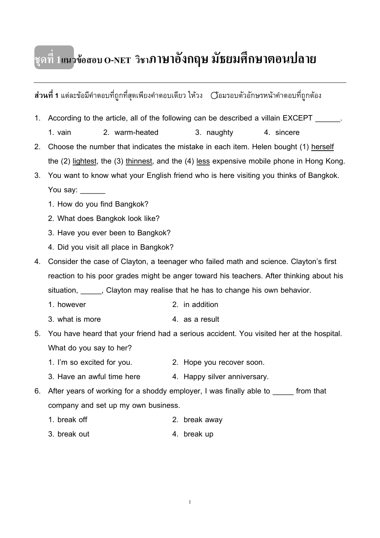# **ชุดที่ 1แนวขอสอบ O-NET วิชาภาษาอังกฤษ มัธยมศึกษาตอนปลาย**

**สวนที่ 1** แตละขอมีคําตอบที่ถูกที่สุดเพียงคําตอบเดียว ใหวง ลอมรอบตัวอักษรหนาคําตอบที่ถูกตอง 1. According to the article, all of the following can be described a villain EXCEPT 1. vain 2. warm-heated 3. naughty 4. sincere 2. Choose the number that indicates the mistake in each item. Helen bought (1) herself the (2) <u>lightest</u>, the (3) <u>thinnest,</u> and the (4) <u>less</u> expensive mobile phone in Hong Kong. 3. You want to know what your English friend who is here visiting you thinks of Bangkok. You say: 1. How do you find Bangkok? 2. What does Bangkok look like? 3. Have you ever been to Bangkok? 4. Did you visit all place in Bangkok? 4. Consider the case of Clayton, a teenager who failed math and science. Clayton's first reaction to his poor grades might be anger toward his teachers. After thinking about his situation, Clayton may realise that he has to change his own behavior. 1. however 2. in addition 3. what is more  $\overline{4}$  as a result 5. You have heard that your friend had a serious accident. You visited her at the hospital. What do you say to her? 1. I'm so excited for you. 2. Hope you recover soon. 3. Have an awful time here 4. Happy silver anniversary. 6. After years of working for a shoddy employer, I was finally able to \_\_\_\_\_ from that company and set up my own business. 1. break off 2. break away 3. break out 4. break up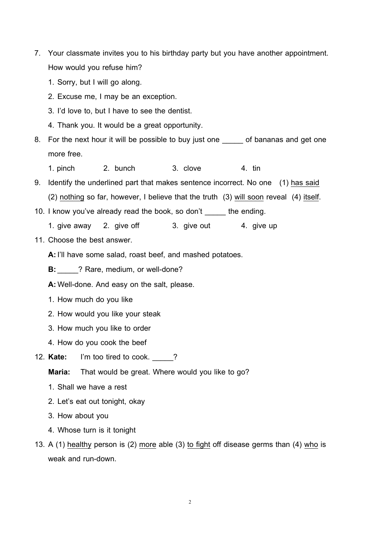- 7. Your classmate invites you to his birthday party but you have another appointment. How would you refuse him?
	- 1. Sorry, but I will go along.
	- 2. Excuse me, I may be an exception.
	- 3. I'd love to, but I have to see the dentist.
	- 4. Thank you. It would be a great opportunity.
- 8. For the next hour it will be possible to buy just one \_\_\_\_\_ of bananas and get one more free.
	- 1. pinch 2. bunch 3. clove 4. tin
- 9. Identify the underlined part that makes sentence incorrect. No one (1) <u>has said</u> (2) <u>nothing</u> so far, however, I believe that the truth (3) <u>will soon</u> reveal (4) <u>itself</u> .
- 10. I know you've already read the book, so don't \_\_\_\_\_ the ending.
	- 1. give away 2. give off 3. give out 4. give up
- 11. Choose the best answer.
	- **A:** I'll have some salad, roast beef, and mashed potatoes.
	- **B:**\_\_\_\_\_? Rare, medium, or well-done?
	- **A:**Well-done. And easy on the salt, please.
	- 1. How much do you like
	- 2. How would you like your steak
	- 3. How much you like to order
	- 4. How do you cook the beef
- 12. **Kate:** I'm too tired to cook. \_\_\_\_\_?
	- **Maria:** That would be great. Where would you like to go?
	- 1. Shall we have a rest
	- 2. Let's eat out tonight, okay
	- 3. How about you
	- 4. Whose turn is it tonight
- 13. A (1) healthy person is (2) more able (3) to fight off disease germs than (4)  $\underline{\text{who}}$  is weak and run-down.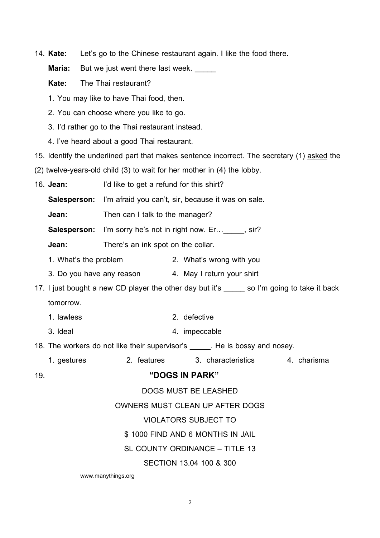14. **Kate:** Let's go to the Chinese restaurant again. I like the food there.

**Maria:** But we just went there last week.

**Kate:** The Thai restaurant?

1. You may like to have Thai food, then.

- 2. You can choose where you like to go.
- 3. I'd rather go to the Thai restaurant instead.
- 4. I've heard about a good Thai restaurant.
- 15. Identify the underlined part that makes sentence incorrect. The secretary (1) asked the
- (2) twelve-years-old child (3) to wait for her mother in (4) the lobby.
- 16. **Jean:** I'd like to get a refund for this shirt?

**Salesperson:** I'm afraid you can't, sir, because it was on sale.

**Jean:** Then can I talk to the manager?

**Salesperson:** I'm sorry he's not in right now. Er... \_\_\_\_\_, sir?

**Jean:** There's an ink spot on the collar.

- 1. What's the problem 2. What's wrong with you
- 3. Do you have any reason 4. May I return your shirt

17. I just bought a new CD player the other day but it's \_\_\_\_\_ so I'm going to take it back tomorrow.

- 1. lawless 2. defective
- 3. Ideal 4. impeccable
- 18. The workers do not like their supervisor's Fig. He is bossy and nosey.
	- 1. gestures 2. features 3. characteristics 4. charisma

#### 19. **"DOGS IN PARK"**

DOGS MUST BE LEASHED

#### OWNERS MUST CLEAN UP AFTER DOGS

#### VIOLATORS SUBJECT TO

\$ 1000 FIND AND 6 MONTHS IN JAIL

SL COUNTY ORDINANCE – TITLE 13

#### SECTION 13.04 100 & 300

www.manythings.org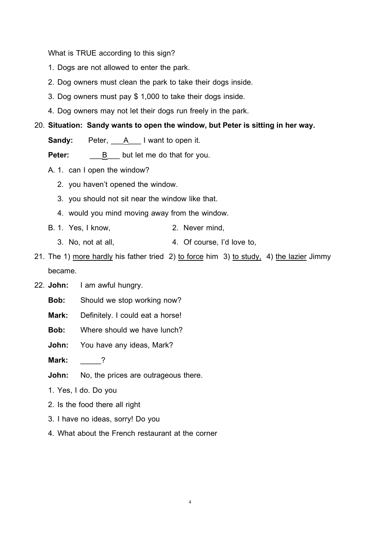What is TRUE according to this sign?

- 1. Dogs are not allowed to enter the park.
- 2. Dog owners must clean the park to take their dogs inside.
- 3. Dog owners must pay \$ 1,000 to take their dogs inside.
- 4. Dog owners may not let their dogs run freely in the park.

#### 20. **Situation: Sandy wants to open the window, but Peter is sitting in her way.**

**Sandy:** Peter, A I want to open it.

Peter: B but let me do that for you.

- A. 1. can I open the window?
	- 2. you haven't opened the window.
	- 3. you should not sit near the window like that.
	- 4. would you mind moving away from the window.
- B. 1. Yes, I know, 2. Never mind,
	- 3. No, not at all, 4. Of course, I'd love to,
- 21. The 1) more hardly his father tried 2) to force him 3) to study, 4) the lazier Jimmy became.
- 22. **John:** I am awful hungry.
	- **Bob:** Should we stop working now?
	- **Mark:** Definitely. I could eat a horse!
	- **Bob:** Where should we have lunch?
	- **John:** You have any ideas, Mark?
	- **Mark:** \_\_\_\_\_?
	- **John:** No, the prices are outrageous there.
	- 1. Yes, I do. Do you
	- 2. Is the food there all right
	- 3. I have no ideas, sorry! Do you
	- 4. What about the French restaurant at the corner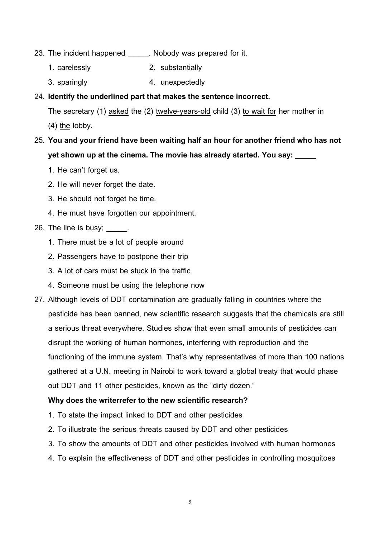- 23. The incident happened \_\_\_\_\_\_. Nobody was prepared for it.
	- 1. carelessly 2. substantially
	- 3. sparingly 4. unexpectedly

## 24. **Identify the underlined part that makes the sentence incorrect.**

The secretary (1) <u>asked</u> the (2) <u>twelve-years-old</u> child (3) <u>to wait for</u> her mother in  $(4)$  the lobby.

- 25. **You and your friend have been waiting half an hour for another friend who has not**  yet shown up at the cinema. The movie has already started. You say:
	- 1. He can't forget us.
	- 2. He will never forget the date.
	- 3. He should not forget he time.
	- 4. He must have forgotten our appointment.

# 26. The line is busy; \_\_\_\_\_.

- 1. There must be a lot of people around
- 2. Passengers have to postpone their trip
- 3. A lot of cars must be stuck in the traffic
- 4. Someone must be using the telephone now
- 27. Although levels of DDT contamination are gradually falling in countries where the pesticide has been banned, new scientific research suggests that the chemicals are still a serious threat everywhere. Studies show that even small amounts of pesticides can disrupt the working of human hormones, interfering with reproduction and the functioning of the immune system. That's why representatives of more than 100 nations gathered at a U.N. meeting in Nairobi to work toward a global treaty that would phase out DDT and 11 other pesticides, known as the "dirty dozen."

#### **Why does the writerrefer to the new scientific research?**

- 1. To state the impact linked to DDT and other pesticides
- 2. To illustrate the serious threats caused by DDT and other pesticides
- 3. To show the amounts of DDT and other pesticides involved with human hormones
- 4. To explain the effectiveness of DDT and other pesticides in controlling mosquitoes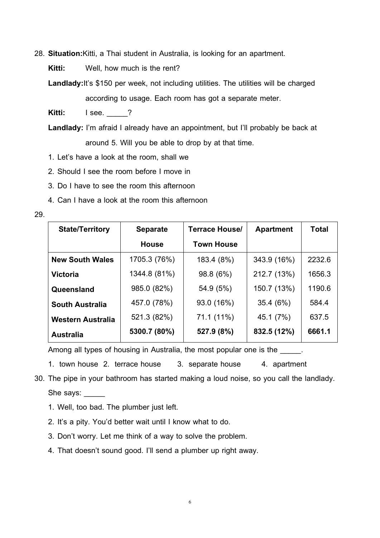28. **Situation:**Kitti, a Thai student in Australia, is looking for an apartment.

**Kitti:** Well, how much is the rent?

**Landlady:**It's \$150 per week, not including utilities. The utilities will be charged according to usage. Each room has got a separate meter.

**Kitti: I** see. \_\_\_\_?

**Landlady:** I'm afraid I already have an appointment, but I'll probably be back at around 5. Will you be able to drop by at that time.

1. Let's have a look at the room, shall we

2. Should I see the room before I move in

3. Do I have to see the room this afternoon

4. Can I have a look at the room this afternoon

29.

| <b>State/Territory</b>   | <b>Separate</b> | <b>Terrace House/</b> | <b>Apartment</b> | <b>Total</b> |
|--------------------------|-----------------|-----------------------|------------------|--------------|
|                          | <b>House</b>    | <b>Town House</b>     |                  |              |
| <b>New South Wales</b>   | 1705.3 (76%)    | 183.4 (8%)            | 343.9 (16%)      | 2232.6       |
| Victoria                 | 1344.8 (81%)    | 98.8 (6%)             | 212.7 (13%)      | 1656.3       |
| Queensland               | 985.0 (82%)     | 54.9 (5%)             | 150.7 (13%)      | 1190.6       |
| <b>South Australia</b>   | 457.0 (78%)     | 93.0 (16%)            | 35.4(6%)         | 584.4        |
| <b>Western Australia</b> | 521.3 (82%)     | 71.1 (11%)            | 45.1 (7%)        | 637.5        |
| <b>Australia</b>         | 5300.7 (80%)    | 527.9 (8%)            | 832.5 (12%)      | 6661.1       |

Among all types of housing in Australia, the most popular one is the \_\_\_\_\_.

1. town house 2. terrace house 3. separate house 4. apartment

30. The pipe in your bathroom has started making a loud noise, so you call the landlady. She says:

1. Well, too bad. The plumber just left.

- 2. It's a pity. You'd better wait until I know what to do.
- 3. Don't worry. Let me think of a way to solve the problem.
- 4. That doesn't sound good. I'll send a plumber up right away.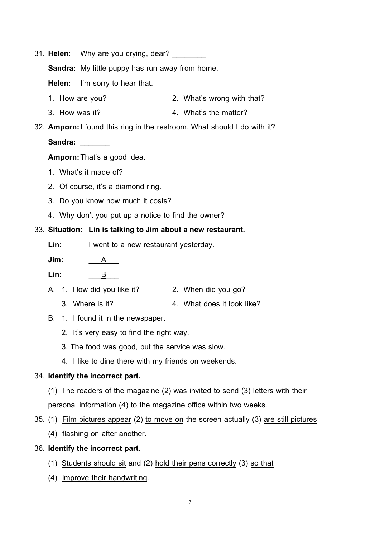31. **Helen:** Why are you crying, dear?

**Sandra:** My little puppy has run away from home.

**Helen:** I'm sorry to hear that.

- 1. How are you? 2. What's wrong with that?
- 3. How was it? 4. What's the matter?
- 32. **Amporn:**I found this ring in the restroom. What should I do with it?

#### **Sandra:** \_\_\_\_\_\_\_

**Amporn:**That's a good idea.

- 1. What's it made of?
- 2. Of course, it's a diamond ring.
- 3. Do you know how much it costs?
- 4. Why don't you put up a notice to find the owner?

#### 33. **Situation: Lin is talking to Jim about a new restaurant.**

Lin: I went to a new restaurant yesterday.

**Jim:**  $\qquad$  A

**Lin:** \_\_\_B\_\_\_

- A. 1. How did you like it? 2. When did you go?
	- 3. Where is it? 4. What does it look like?
- B. 1. I found it in the newspaper.
	- 2. It's very easy to find the right way.
	- 3. The food was good, but the service was slow.
	- 4. I like to dine there with my friends on weekends.

#### 34. **Identify the incorrect part.**

- (1) The readers of the magazine (2) was invited to send (3) letters with their personal information (4) <u>to the magazine office within</u> two weeks.
- 35. (1) Film pictures appear (2) to move on the screen actually (3) are still pictures
	- (4) flashing on after another .

#### 36. **Identify the incorrect part.**

- (1) Students should sit and (2) hold their pens correctly (3) so that
- (4) improve their handwriting.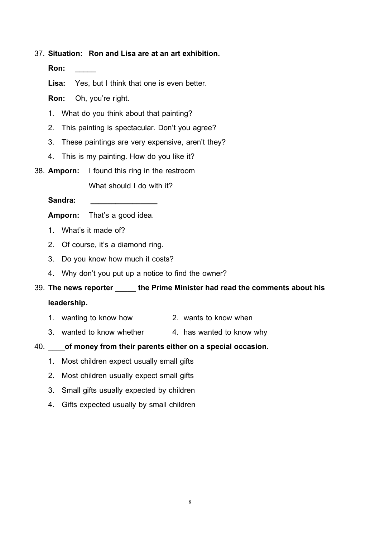#### 37. **Situation: Ron and Lisa are at an art exhibition.**

**Ron:** \_\_\_\_\_

**Lisa:** Yes, but I think that one is even better.

**Ron:** Oh, you're right.

- 1. What do you think about that painting?
- 2. This painting is spectacular. Don't you agree?
- 3. These paintings are very expensive, aren't they?
- 4. This is my painting. How do you like it?
- 38. **Amporn:** I found this ring in the restroom

What should I do with it?

Sandra:

**Amporn:** That's a good idea.

- 1. What's it made of?
- 2. Of course, it's a diamond ring.
- 3. Do you know how much it costs?
- 4. Why don't you put up a notice to find the owner?

39. **The news reporter \_\_\_\_\_ the Prime Minister had read the comments about his** 

# **leadership.**

- 1. wanting to know how 2. wants to know when
- 3. wanted to know whether 4. has wanted to know why
- 40. **\_\_\_\_of money from their parents either on a special occasion.**
	- 1. Most children expect usually small gifts
	- 2. Most children usually expect small gifts
	- 3. Small gifts usually expected by children
	- 4. Gifts expected usually by small children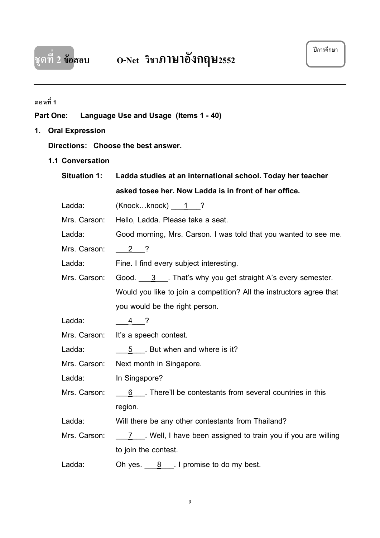

# **ตอนที่ 1**

## **Part One: Language Use and Usage (Items 1 - 40)**

# **1. Oral Expression**

#### **Directions: Choose the best answer.**

**1.1 Conversation**

| <b>Situation 1:</b> | Ladda studies at an international school. Today her teacher          |  |  |  |
|---------------------|----------------------------------------------------------------------|--|--|--|
|                     | asked tosee her. Now Ladda is in front of her office.                |  |  |  |
| Ladda:              | $(Knockknock)$ 1 ?                                                   |  |  |  |
| Mrs. Carson:        | Hello, Ladda. Please take a seat.                                    |  |  |  |
| Ladda:              | Good morning, Mrs. Carson. I was told that you wanted to see me.     |  |  |  |
| Mrs. Carson:        | $2 \t2$                                                              |  |  |  |
| Ladda:              | Fine. I find every subject interesting.                              |  |  |  |
| Mrs. Carson:        | Good. $3$ That's why you get straight A's every semester.            |  |  |  |
|                     | Would you like to join a competition? All the instructors agree that |  |  |  |
|                     | you would be the right person.                                       |  |  |  |
| Ladda:              | $4 \t2$                                                              |  |  |  |
| Mrs. Carson:        | It's a speech contest.                                               |  |  |  |
| Ladda:              | 5 But when and where is it?                                          |  |  |  |
| Mrs. Carson:        | Next month in Singapore.                                             |  |  |  |
| Ladda:              | In Singapore?                                                        |  |  |  |
| Mrs. Carson:        | 6 __. There'll be contestants from several countries in this         |  |  |  |
|                     | region.                                                              |  |  |  |
| Ladda:              | Will there be any other contestants from Thailand?                   |  |  |  |
| Mrs. Carson:        | 7 Mell, I have been assigned to train you if you are willing         |  |  |  |
|                     | to join the contest.                                                 |  |  |  |
| Ladda:              | Oh yes. $\underline{8}$ . I promise to do my best.                   |  |  |  |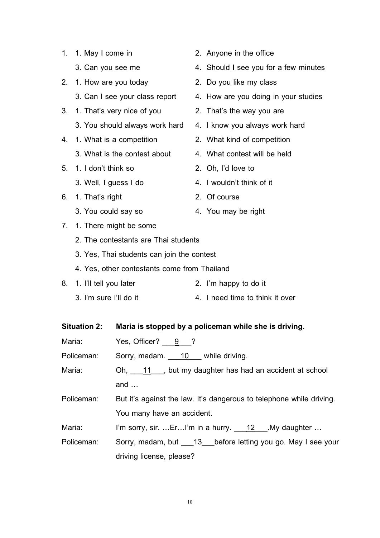- 2. 1. How are you today 2. Do you like my class
	-
- 3. 1. That's very nice of you 2. That's the way you are
	- 3. You should always work hard 4. I know you always work hard
- -
- 5. 1. I don't think so 2. Oh, I'd love to
	-
- 6. 1. That's right 2. Of course
	-
- 7. 1. There might be some
	- 2. The contestants are Thai students
	- 3. Yes, Thai students can join the contest
	- 4. Yes, other contestants come from Thailand

# 8. 1. I'll tell you later 2. I'm happy to do it

3. I'm sure I'll do it 4. I need time to think it over

| <b>Situation 2:</b> | Maria is stopped by a policeman while she is driving.                |  |  |
|---------------------|----------------------------------------------------------------------|--|--|
| Maria:              | Yes, Officer? $9$ ?                                                  |  |  |
| Policeman:          | Sorry, madam. 10 while driving.                                      |  |  |
| Maria:              | Oh, 11, but my daughter has had an accident at school                |  |  |
|                     | and $\dots$                                                          |  |  |
| Policeman:          | But it's against the law. It's dangerous to telephone while driving. |  |  |
|                     | You many have an accident.                                           |  |  |
| Maria:              | I'm sorry, sir. ErI'm in a hurry. 12 My daughter                     |  |  |

Policeman: Sorry, madam, but \_\_\_13\_\_\_before letting you go. May I see your driving license, please?

- 1. 1. May I come in 2. Anyone in the office
	- 3. Can you see me 4. Should I see you for a few minutes
		-
	- 3. Can I see your class report 4. How are you doing in your studies
		-
		-
- 4. 1. What is a competition 2. What kind of competition
	- 3. What is the contest about 4. What contest will be held
		-
	- 3. Well, I guess I do 4. I wouldn't think of it
		-
	- 3. You could say so **4.** You may be right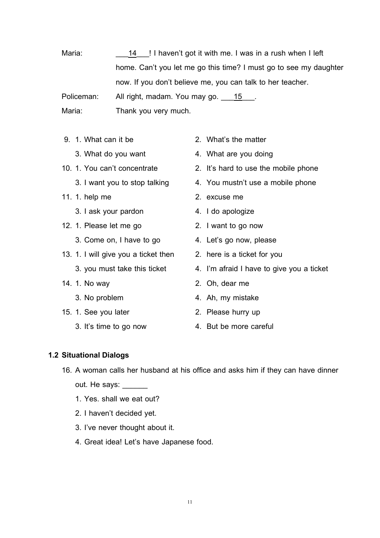Maria: home. Can't you let me go this time? I must go to see my daughter 14 | I haven't got it with me. I was in a rush when I left now. If you don't believe me, you can talk to her teacher. Policeman: All right, madam. You may go. 15.

Maria: Thank you very much.

- -
- -
- 11. 1. help me 2. excuse me
	- 3. I ask your pardon and the 4. I do apologize
- 12. 1. Please let me go 2. I want to go now
	- 3. Come on, I have to go **4.** Let's go now, please
- 13. 1. I will give you a ticket then 2. here is a ticket for you
	-
- -
- 15. 1. See you later 2. Please hurry up
	-
- 9. 1. What can it be 2. What's the matter
	- 3. What do you want 4. What are you doing
- 10. 1. You can't concentrate 2. It's hard to use the mobile phone
	- 3. I want you to stop talking 4. You mustn't use a mobile phone
		-
		-
		-
		-
		-
	- 3. you must take this ticket 4. I'm afraid I have to give you a ticket
- 14. 1. No way 2. Oh, dear me
	- 3. No problem 4. Ah, my mistake
		-
	- 3. It's time to go now 4. But be more careful

#### **1.2 Situational Dialogs**

- 16. A woman calls her husband at his office and asks him if they can have dinner out. He says:
	- 1. Yes. shall we eat out?
	- 2. I haven't decided yet.
	- 3. I've never thought about it.
	- 4. Great idea! Let's have Japanese food.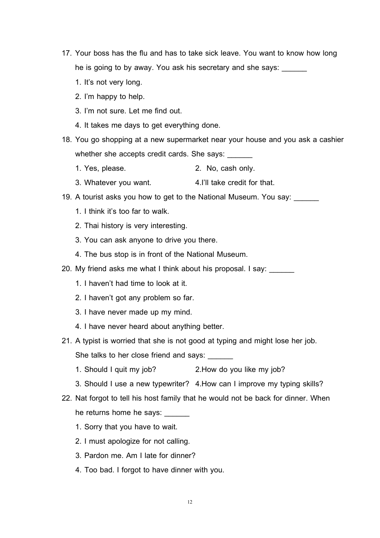- 17. Your boss has the flu and has to take sick leave. You want to know how long he is going to by away. You ask his secretary and she says:
	- 1. It's not very long.
	- 2. I'm happy to help.
	- 3. I'm not sure. Let me find out.
	- 4. It takes me days to get everything done.
- 18. You go shopping at a new supermarket near your house and you ask a cashier whether she accepts credit cards. She says:
	- 1. Yes, please. 2. No, cash only.
	- 3. Whatever you want. 4.I'll take credit for that.
- 19. A tourist asks you how to get to the National Museum. You say: \_\_\_\_\_\_
	- 1. I think it's too far to walk.
	- 2. Thai history is very interesting.
	- 3. You can ask anyone to drive you there.
	- 4. The bus stop is in front of the National Museum.
- 20. My friend asks me what I think about his proposal. I say:
	- 1. I haven't had time to look at it.
	- 2. I haven't got any problem so far.
	- 3. I have never made up my mind.
	- 4. I have never heard about anything better.
- 21. A typist is worried that she is not good at typing and might lose her job. She talks to her close friend and says:
	- 1. Should I quit my job? 2.How do you like my job?
	- 3. Should I use a new typewriter? 4.How can I improve my typing skills?
- 22. Nat forgot to tell his host family that he would not be back for dinner. When he returns home he says: \_\_\_\_\_\_
	- 1. Sorry that you have to wait.
	- 2. I must apologize for not calling.
	- 3. Pardon me. Am I late for dinner?
	- 4. Too bad. I forgot to have dinner with you.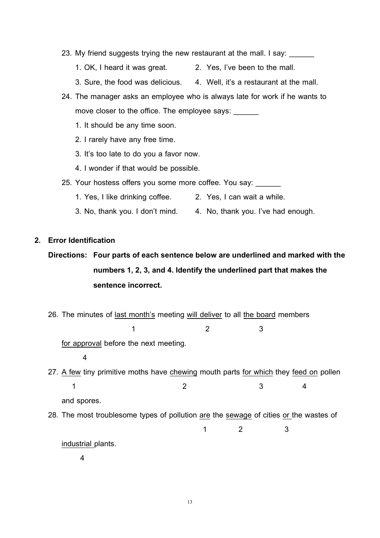- 23. My friend suggests trying the new restaurant at the mall. I say:
	- 1. OK, I heard it was great. 2. Yes, I've been to the mall.
	- 3. Sure, the food was delicious. 4. Well, it's a restaurant at the mall.
- 24. The manager asks an employee who is always late for work if he wants to move closer to the office. The employee says:
	- 1. It should be any time soon.
	- 2. I rarely have any free time.
	- 3. It's too late to do you a favor now.
	- 4. I wonder if that would be possible.
- 25. Your hostess offers you some more coffee. You say: \_\_\_\_\_\_
	- 1. Yes, I like drinking coffee. 2. Yes, I can wait a while.
	- 3. No, thank you. I don't mind. 4. No, thank you. I've had enough.
- **2. Error Identification**
	- **Directions: Four parts of each sentence below are underlined and marked with the numbers 1, 2, 3, and 4. Identify the underlined part that makes the sentence incorrect.**
	- 26. The minutes of <u>last month's</u> meeting <u>will deliver</u> to all <u>the board</u> members  $1$  2 3

for approval before the next meeting.

- 4
- 27. <u>A few</u> tiny primitive moths have <u>chewing</u> mouth parts <u>for which</u> they <u>feed on</u> pollen  $1$  2 3 4 and spores.
- 28. The most troublesome types of pollution are the sewage of cities or the wastes of

1 2 3

industrial plants.

4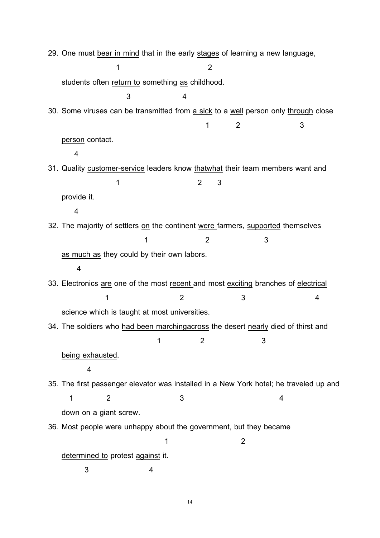29. One must <u>bear in mind</u> that in the early <u>stages</u> of learning a new language, 1 2 students often <u>return to</u> something <u>as</u> childhood. 3 4 30. Some viruses can be transmitted from <u>a sick</u> to a <u>well</u> person only <u>through</u> close 1 2 3 <u>person</u> contact. 4 31. Quality <u>customer-service</u> leaders know <u>thatwhat</u> their team members want and 1 2 3 provide it 4 . 32. The majority of settlers <u>on</u> the continent <u>were f</u>armers, <u>supported</u> themselves 1 2 3 <u>as much as</u> they could by their own labors. 4 33. Electronics <u>are</u> one of the most <u>recent and most exciting</u> branches of <u>electrical</u>  $1$  2 3 4 science which is taught at most universities. 34. The soldiers who <u>had been marchingacross</u> the desert nearly died of thirst and 1 2 3 being exhausted 4 . 35. <u>The</u> first <u>passenger</u> elevator <u>was installed</u> in a New York hotel; <u>he</u> traveled up and  $1$  2 3 4 down on a giant screw. 36. Most people were unhappy <u>about</u> the government, <u>but</u> they became 1 2 <u>determined to</u> protest <u>against</u> it. 3 4

14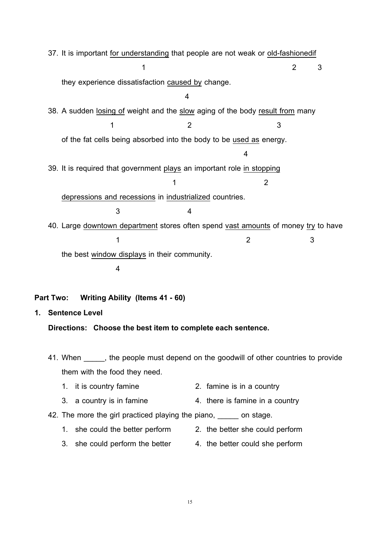37. It is important <u>for understanding</u> that people are not weak or <u>old-fashionedif</u> 1 2 3 they experience dissatisfaction <u>caused by</u> change. 4 38. A sudden <u>losing of</u> weight and the <u>slow</u> aging of the body <u>result from</u> many  $1$   $2$   $3$ of the fat cells being absorbed into the body to be <u>used as</u> energy. 4 39. It is required that government <u>plays</u> an important role <u>in stopping</u> 1 2 depressions and recessions in industrialized countries. 3 4 40. Large <u>downtown department</u> stores often spend <u>vast amounts</u> of money <u>try</u> to have  $1$   $2$   $3$ the best <u>window displays</u> in their community. 4

#### **Part Two: Writing Ability (Items 41 - 60)**

**1. Sentence Level**

#### **Directions: Choose the best item to complete each sentence.**

41. When  $\blacksquare$ , the people must depend on the goodwill of other countries to provide them with the food they need.

- 1. it is country famine 2. famine is in a country
- 3. a country is in famine 4. there is famine in a country
- 42. The more the girl practiced playing the piano, and stage.
	- 1. she could the better perform 2. the better she could perform
		-
	- 3. she could perform the better 4. the better could she perform
-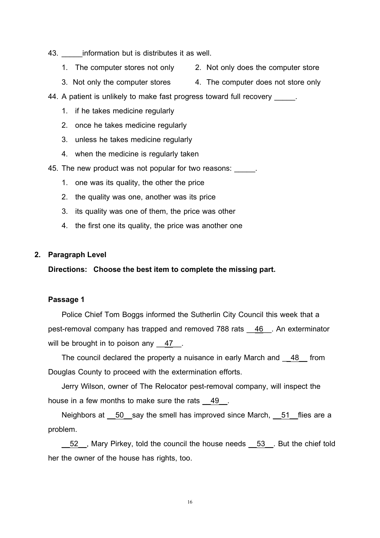- 43. **Information but is distributes it as well.** 
	- 1. The computer stores not only 2. Not only does the computer store
	- 3. Not only the computer stores 4. The computer does not store only
- 44. A patient is unlikely to make fast progress toward full recovery \_\_\_\_\_\_.
	- 1. if he takes medicine regularly
	- 2. once he takes medicine regularly
	- 3. unless he takes medicine regularly
	- 4. when the medicine is regularly taken
- 45. The new product was not popular for two reasons:
	- 1. one was its quality, the other the price
	- 2. the quality was one, another was its price
	- 3. its quality was one of them, the price was other
	- 4. the first one its quality, the price was another one

#### **2. ParagraphLevel**

#### **Directions: Choose the best item to completethe missing part.**

#### **Passage 1**

Police Chief Tom Boggs informed the Sutherlin City Council this week that a pest-removal company has trapped and removed 788 rats \_\_<u>46</u> \_\_. An exterminator will be brought in to poison any <u>47</u>.

The council declared the property a nuisance in early March and  $\underline{\hspace{1em}48}$  from Douglas County to proceed with the extermination efforts.

Jerry Wilson, owner of The Relocator pest-removal company, will inspect the house in a few months to make sure the rats 49. .

Neighbors at <u>\_\_50\_</u> say the smell has improved since March, \_\_51\_\_flies are a problem.

52 , Mary Pirkey, told the council the house needs 53 But the chief told her the owner of the house has rights, too.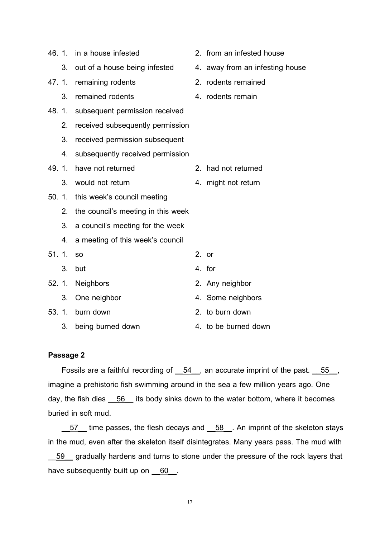|       |       | 46. 1. in a house infested         | 2. from an infested house       |
|-------|-------|------------------------------------|---------------------------------|
|       |       | 3. out of a house being infested   | 4. away from an infesting house |
|       | 47.1. | remaining rodents                  | 2. rodents remained             |
|       | 3.    | remained rodents                   | 4. rodents remain               |
| 48.1. |       | subsequent permission received     |                                 |
|       | 2.    | received subsequently permission   |                                 |
|       | 3.    | received permission subsequent     |                                 |
|       | 4.    | subsequently received permission   |                                 |
| 49.1. |       | have not returned                  | 2. had not returned             |
|       | 3.    | would not return                   | 4. might not return             |
|       | 50.1. | this week's council meeting        |                                 |
|       | 2.    | the council's meeting in this week |                                 |
|       | 3.    | a council's meeting for the week   |                                 |
|       | 4.    | a meeting of this week's council   |                                 |
| 51.1. |       | <b>SO</b>                          | $2.$ or                         |
|       | 3.    | but                                | 4. for                          |
|       |       | 52. 1. Neighbors                   | 2. Any neighbor                 |
|       | 3.    | One neighbor                       | 4. Some neighbors               |
|       | 53.1. | burn down                          | 2. to burn down                 |
|       | 3.    | being burned down                  | 4. to be burned down            |

#### **Passage 2**

Fossils are a faithful recording of  $\underline{\hspace{0.5em}54\hspace{0.5em}}$ , an accurate imprint of the past.  $\underline{\hspace{0.5em}55\hspace{0.5em}}$ , imagine a prehistoric fish swimming around in the sea a few million years ago. One day, the fish dies <u>\_\_56</u> \_\_ its body sinks down to the water bottom, where it becomes buried in soft mud.

 $\frac{57}{10}$  time passes, the flesh decays and  $\frac{58}{10}$ . An imprint of the skeleton stays in the mud, even after the skeleton itself disintegrates. Many years pass. The mud with

**59** gradually hardens and turns to stone under the pressure of the rock layers that have subsequently built up on <u>60</u>.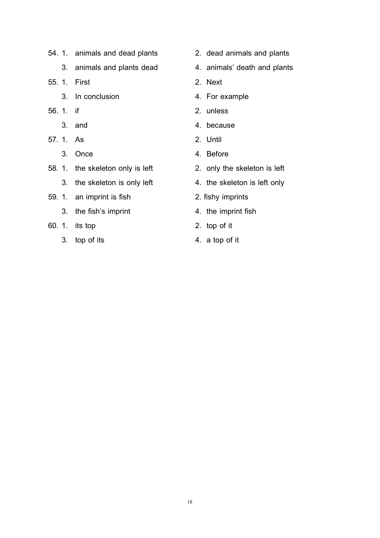- 54. 1. animals and dead plants 2. dead animals and plants
	- 3. animals and plants dead 4. animals' death and plants
- 55. 1. First 2. Next
	- 3. In conclusion **4. For example**
- 56. 1. if 2. unless
	-
- 57. 1. As 2. Until
	-
- 58. 1. the skeleton only is left 2. only the skeleton is left
	- 3. the skeleton is only left 4. the skeleton is left only
- 59. 1. an imprint is fish 2. fishy imprints
	- 3. the fish's imprint 4. the imprint fish
- 60. 1. its top 2. top of it
	- 3. top of its 4. a top of it
- 
- 
- 
- 
- 
- 3. and 3. and 4. because
	-
- 3. Once 4. Before
	-
	-
	-
	-
	-
	-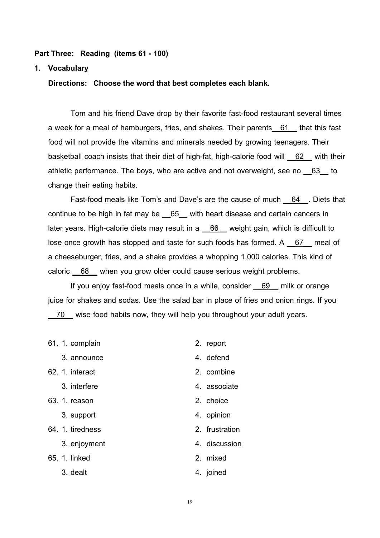#### **Part Three: Reading (items 61 - 100)**

#### **1. Vocabulary**

**Directions: Choose the word that best completes each blank.**

Tom and his friend Dave drop by their favorite fast-food restaurant several times a week for a meal of hamburgers, fries, and shakes. Their parents<u>\_\_61\_\_</u> that this fast food will not provide the vitamins and minerals needed by growing teenagers. Their basketball coach insists that their diet of high-fat, high-calorie food will <u>62</u> with their athletic performance. The boys, who are active and not overweight, see no <u>63</u> to change their eating habits.

Fast-food meals like Tom's and Dave's are the cause of much  $\_\_\_\_64\_\_\_\_$ . Diets that continue to be high in fat may be <u>65</u> with heart disease and certain cancers in later years. High-calorie diets may result in a \_\_66\_\_ weight gain, which is difficult to lose once growth has stopped and taste for such foods has formed. A  $\_\,\,\overline{\,\,\mathsf{67}}\,\,\_\,$  meal of a cheeseburger, fries, and a shake provides a whopping 1,000 calories. This kind of caloric 68 When you grow older could cause serious weight problems.

If you enjoy fast-food meals once in a while, consider 69 milk or orange juice for shakes and sodas. Use the salad bar in place of fries and onion rings. If you 70 wise food habits now, they will help you throughout your adult years.

| 61. 1. complain  | 2. report      |
|------------------|----------------|
| 3. announce      | 4. defend      |
| 62. 1. interact  | 2. combine     |
| 3. interfere     | 4. associate   |
| 63. 1. reason    | 2. choice      |
| 3. support       | 4. opinion     |
| 64. 1. tiredness | 2. frustration |
| 3. enjoyment     | 4. discussion  |
| 65. 1. linked    | 2. mixed       |
| 3. dealt         | 4. joined      |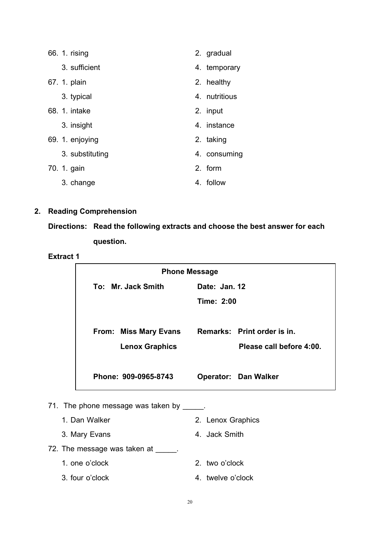| 66. 1. rising   | 2. gradual    |
|-----------------|---------------|
| 3. sufficient   | 4. temporary  |
| 67. 1. plain    | 2. healthy    |
| 3. typical      | 4. nutritious |
| 68. 1. intake   | 2. input      |
| 3. insight      | 4. instance   |
| 69. 1. enjoying | 2. taking     |
| 3. substituting | 4. consuming  |
| 70. 1. gain     | 2. form       |
| 3. change       | 4. follow     |

# **2. Reading Comprehension**

**Directions: Read the following extracts and choose the best answer for each question.**

#### **Extract 1**

| <b>Phone Message</b>                                  |                                                         |  |  |  |  |  |
|-------------------------------------------------------|---------------------------------------------------------|--|--|--|--|--|
| Date: Jan. 12<br>To: Mr. Jack Smith                   |                                                         |  |  |  |  |  |
|                                                       | Time: 2:00                                              |  |  |  |  |  |
| <b>From: Miss Mary Evans</b><br><b>Lenox Graphics</b> | Remarks: Print order is in.<br>Please call before 4:00. |  |  |  |  |  |
| Phone: 909-0965-8743                                  | <b>Operator: Dan Walker</b>                             |  |  |  |  |  |

71. The phone message was taken by \_\_\_\_\_.

- 1. Dan Walker 2. Lenox Graphics
- 3. Mary Evans **4. Jack Smith**
- 72. The message was taken at \_\_\_\_\_.
	- 1. one o'clock 2. two o'clock
	- 3. four o'clock 4. twelve o'clock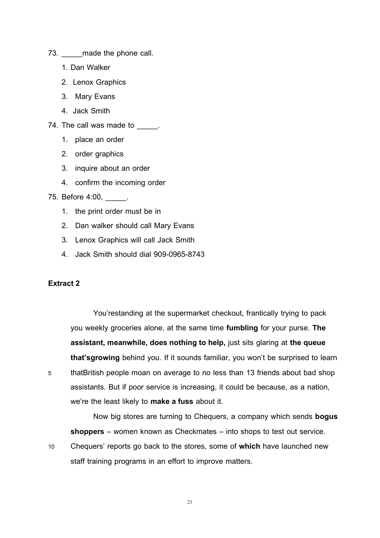- 73. made the phone call.
	- 1. Dan Walker
	- 2. Lenox Graphics
	- 3. Mary Evans
	- 4. Jack Smith
- 74. The call was made to \_\_\_\_\_.
	- 1. place an order
	- 2. order graphics
	- 3. inquire about an order
	- 4. confirm the incoming order

75. Before 4:00, \_\_\_\_\_.

- 1. the print order must be in
- 2. Dan walker should call Mary Evans
- 3. Lenox Graphics will call Jack Smith
- 4. Jack Smith should dial 909-0965-8743

#### **Extract 2**

You'restanding at the supermarket checkout, frantically trying to pack you weekly groceries alone, at the same time **fumbling** for your purse. **The assistant, meanwhile, does nothing to help,** just sits glaring at **the queue that'sgrowing** behind you. If it sounds familiar, you won't be surprised to learn 5 thatBritish people moan on average to no less than 13 friends about bad shop assistants. But if poor service is increasing, it could be because, as a nation, we're the least likely to **make a fuss** about it.

Now big stores are turning to Chequers, a company which sends **bogus shoppers** – women known as Checkmates – into shops to test out service.

10 Chequers' reports go back to the stores, some of **which** have launched new staff training programs in an effort to improve matters.

21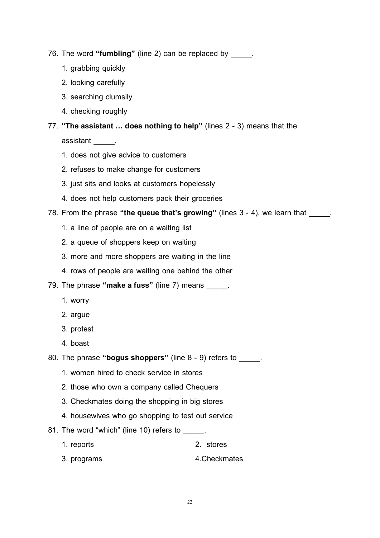- 76. The word **"fumbling"** (line 2) can be replaced by \_\_\_\_\_.
	- 1. grabbing quickly
	- 2. looking carefully
	- 3. searching clumsily
	- 4. checking roughly

# 77. **"The assistant … does nothing to help"** (lines 2 - 3) means that the

assistant \_\_\_\_\_.

- 1. does not give advice to customers
- 2. refuses to make change for customers
- 3. just sits and looks at customers hopelessly
- 4. does not help customers pack their groceries
- 78. From the phrase **"the queue that's growing"** (lines 3 4), we learn that \_\_\_\_\_.
	- 1. a line of people are on a waiting list
	- 2. a queue of shoppers keep on waiting
	- 3. more and more shoppers are waiting in the line
	- 4. rows of people are waiting one behind the other
- 79. The phrase **"make a fuss"** (line 7) means \_\_\_\_\_.
	- 1. worry
	- 2. argue
	- 3. protest
	- 4. boast
- 80. The phrase **"bogus shoppers"** (line 8 9) refers to \_\_\_\_\_.
	- 1. women hired to check service in stores
	- 2. those who own a company called Chequers
	- 3. Checkmates doing the shopping in big stores
	- 4. housewives who go shopping to test out service
- 81. The word "which" (line 10) refers to \_\_\_\_\_.
	- 1. reports 2. stores
	- 3. programs 4.Checkmates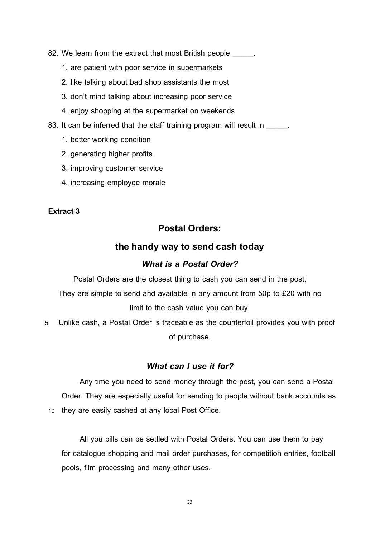- 82. We learn from the extract that most British people  $\qquad \qquad$ .
	- 1. are patient with poor service in supermarkets
	- 2. like talking about bad shop assistants the most
	- 3. don't mind talking about increasing poor service
	- 4. enjoy shopping at the supermarket on weekends
- 83. It can be inferred that the staff training program will result in \_\_\_\_\_.
	- 1. better working condition
	- 2. generating higher profits
	- 3. improving customer service
	- 4. increasing employee morale

#### **Extract 3**

# **Postal Orders:**

## **the handy way to send cash today**

# *What is a Postal Order?*

Postal Orders are the closest thing to cash you can send in the post.

They are simple to send and available in any amount from 50p to £20 with no limit to the cash value you can buy.

5 Unlike cash, a Postal Order is traceable as the counterfoil provides you with proof of purchase.

#### *What can I use it for?*

Any time you need to send money through the post, you can send a Postal Order. They are especially useful for sending to people without bank accounts as 10 they are easily cashed at any local Post Office.

All you bills can be settled with Postal Orders. You can use them to pay for catalogue shopping and mail order purchases, for competition entries, football pools, film processing and many other uses.

23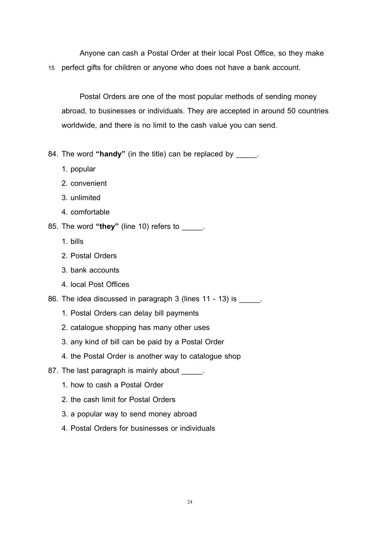Anyone can cash a Postal Order at their local Post Office, so they make 15 perfect gifts for children or anyone who does not have a bank account.

Postal Orders are one of the most popular methods of sending money abroad, to businesses or individuals. They are accepted in around 50 countries worldwide, and there is no limit to the cash value you can send.

84. The word **"handy"** (in the title) can be replaced by \_\_\_\_\_.

- 1. popular
- 2. convenient
- 3. unlimited
- 4. comfortable
- 85. The word **"they"** (line 10) refers to \_\_\_\_\_.
	- 1. bills
	- 2. Postal Orders
	- 3. bank accounts
	- 4. local Post Offices
- 86. The idea discussed in paragraph 3 (lines 11 13) is
	- 1. Postal Orders can delay bill payments
	- 2. catalogue shopping has many other uses
	- 3. any kind of bill can be paid by a Postal Order
	- 4. the Postal Order is another way to catalogue shop
- 87. The last paragraph is mainly about  $\qquad \qquad$ .
	- 1. how to cash a Postal Order
	- 2. the cash limit for Postal Orders
	- 3. a popular way to send money abroad
	- 4. Postal Orders for businesses or individuals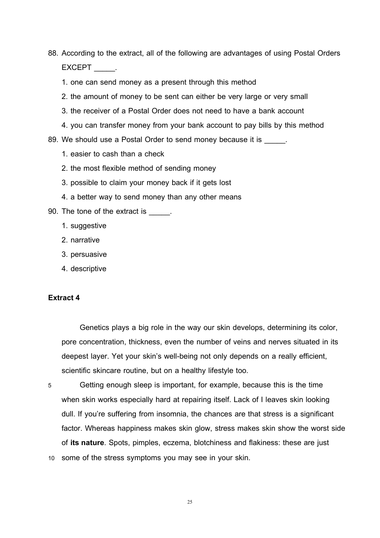88. According to the extract, all of the following are advantages of using Postal Orders EXCEPT .

- 1. one can send money as a present through this method
- 2. the amount of money to be sent can either be very large or very small
- 3. the receiver of a Postal Order does not need to have a bank account
- 4. you can transfer money from your bank account to pay bills by this method

89. We should use a Postal Order to send money because it is

- 1. easier to cash than a check
- 2. the most flexible method of sending money
- 3. possible to claim your money back if it gets lost
- 4. a better way to send money than any other means
- 90. The tone of the extract is \_\_\_\_\_.
	- 1. suggestive
	- 2. narrative
	- 3. persuasive
	- 4. descriptive

#### **Extract 4**

Genetics plays a big role in the way our skin develops, determining its color, pore concentration, thickness, even the number of veins and nerves situated in its deepest layer. Yet your skin's well-being not only depends on a really efficient, scientific skincare routine, but on a healthy lifestyle too.

5 Getting enough sleep is important, for example, because this is the time when skin works especially hard at repairing itself. Lack of I leaves skin looking dull. If you're suffering from insomnia, the chances are that stress is a significant factor. Whereas happiness makes skin glow, stress makes skin show the worst side of **its nature**. Spots, pimples, eczema, blotchiness and flakiness: these are just 10 some of the stress symptoms you may see in your skin.

25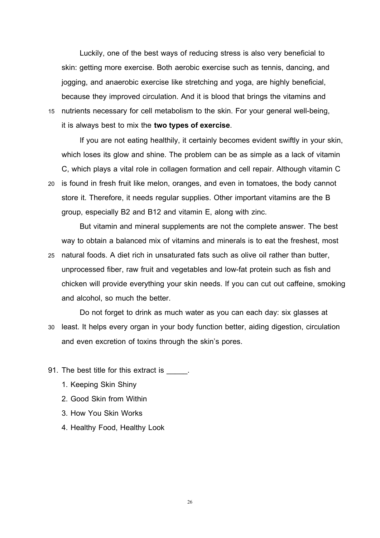Luckily, one of the best ways of reducing stress is also very beneficial to skin: getting more exercise. Both aerobic exercise such as tennis, dancing, and jogging, and anaerobic exercise like stretching and yoga, are highly beneficial, because they improved circulation. And it is blood that brings the vitamins and 15 nutrients necessary for cell metabolism to the skin. For your general well-being,

it is always best to mix the **two types of exercise**.

If you are not eating healthily, it certainly becomes evident swiftly in your skin, which loses its glow and shine. The problem can be as simple as a lack of vitamin C, which plays a vital role in collagen formation and cell repair. Although vitamin C 20 is found in fresh fruit like melon, oranges, and even in tomatoes, the body cannot store it. Therefore, it needs regular supplies. Other important vitamins are the B group, especially B2 and B12 and vitamin E, along with zinc.

But vitamin and mineral supplements are not the complete answer. The best way to obtain a balanced mix of vitamins and minerals is to eat the freshest, most

25 natural foods. A diet rich in unsaturated fats such as olive oil rather than butter, unprocessed fiber, raw fruit and vegetables and low-fat protein such as fish and chicken will provide everything your skin needs. If you can cut out caffeine, smoking and alcohol, so much the better.

Do not forget to drink as much water as you can each day: six glasses at 30 least. It helps every organ in your body function better, aiding digestion, circulation and even excretion of toxins through the skin's pores.

- 91. The best title for this extract is \_\_\_\_\_.
	- 1. Keeping Skin Shiny
	- 2. Good Skin from Within
	- 3. How You Skin Works
	- 4. Healthy Food, Healthy Look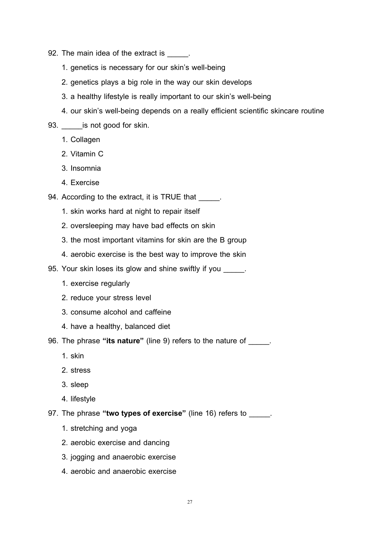- 92. The main idea of the extract is  $\qquad \qquad$ .
	- 1. genetics is necessary for our skin's well-being
	- 2. genetics plays a big role in the way our skin develops
	- 3. a healthy lifestyle is really important to our skin's well-being
	- 4. our skin's well-being depends on a really efficient scientific skincare routine
- 93. \_\_\_\_\_\_\_ is not good for skin.
	- 1. Collagen
	- 2. Vitamin C
	- 3. Insomnia
	- 4. Exercise
- 94. According to the extract, it is TRUE that \_\_\_\_\_.
	- 1. skin works hard at night to repair itself
	- 2. oversleeping may have bad effects on skin
	- 3. the most important vitamins for skin are the B group
	- 4. aerobic exercise is the best way to improve the skin
- 95. Your skin loses its glow and shine swiftly if you \_\_\_\_\_.
	- 1. exercise regularly
	- 2. reduce your stress level
	- 3. consume alcohol and caffeine
	- 4. have a healthy, balanced diet
- 96. The phrase **"its nature"** (line 9) refers to the nature of \_\_\_\_\_.
	- 1. skin
	- 2. stress
	- 3. sleep
	- 4. lifestyle
- 97. The phrase **"two types of exercise"** (line 16) refers to \_\_\_\_\_.
	- 1. stretching and yoga
	- 2. aerobic exercise and dancing
	- 3. jogging and anaerobic exercise
	- 4. aerobic and anaerobic exercise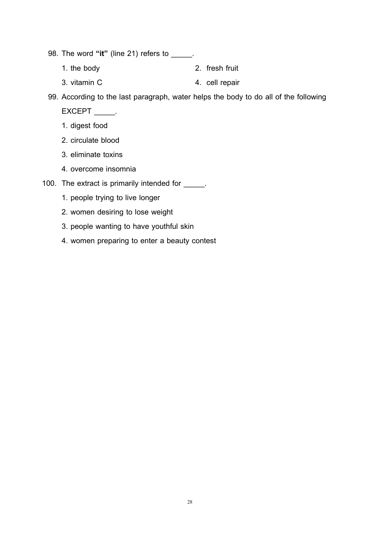98. The word **"it"** (line 21) refers to \_\_\_\_\_.

- 1. the body 2. fresh fruit
- 3. vitamin C 4. cell repair

99. According to the last paragraph, water helps the body to do all of the following

EXCEPT \_\_\_\_\_.

- 1. digest food
- 2. circulate blood
- 3. eliminate toxins
- 4. overcome insomnia
- 100. The extract is primarily intended for \_\_\_\_\_.
	- 1. people trying to live longer
	- 2. women desiring to lose weight
	- 3. people wanting to have youthful skin
	- 4. women preparing to enter a beauty contest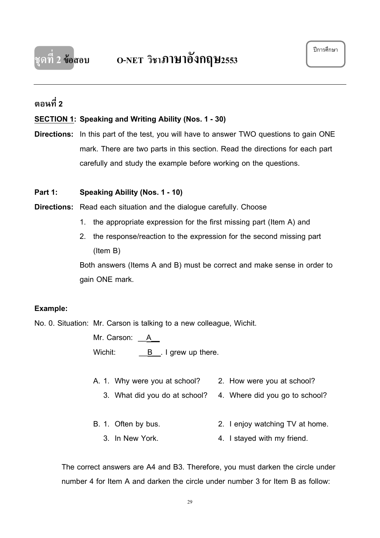# **ตอนที่ 2**

# **SECTION 1 : Speaking and Writing Ability (Nos. 1 - 30)**

**Directions:** In this part of the test, you will have to answer TWO questions to gain ONE mark. There are two parts in this section. Read the directions for each part carefully and study the example before working on the questions.

#### **Part 1: Speaking Ability (Nos. 1 - 10)**

**Directions:** Read each situation and the dialogue carefully. Choose

- 1. the appropriate expression for the first missing part (Item A) and
- 2. the response/reaction to the expression for the second missing part (Item B)

Both answers (Items A and B) must be correct and make sense in order to gain ONE mark.

#### **Example:**

No. 0. Situation: Mr. Carson is talking to a new colleague, Wichit.

Mr. Carson: <u>A</u> Wichit: B\_\_. I grew up there.

- A. 1. Why were you at school? 2. How were you at school?
	- 3. What did you do at school? 4. Where did you go to school?
- B. 1. Often by bus. 2. I enjoy watching TV at home.
	- 3. In New York. 4. I stayed with my friend.

The correct answers are A4 and B3. Therefore, you must darken the circle under number 4 for Item A and darken the circle under number 3 for Item B as follow: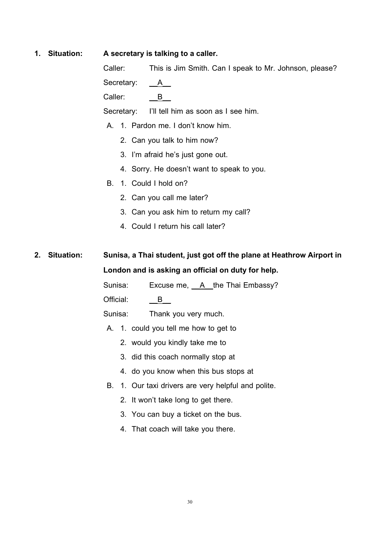#### **1. Situation: A secretary is talking to a caller.**

Caller: This is Jim Smith. Can I speak to Mr. Johnson, please?

Secretary:  $A$ 

Caller:  $\overline{B}$ 

Secretary: I'll tell him as soon as I see him.

- A. 1. Pardon me. I don't know him.
	- 2. Can you talk to him now?
	- 3. I'm afraid he's just gone out.
	- 4. Sorry. He doesn't want to speak to you.
- B. 1. Could I hold on?
	- 2. Can you call me later?
	- 3. Can you ask him to return my call?
	- 4. Could I return his call later?

**2. Situation: Sunisa, a Thai student, just got off the plane at Heathrow Airport in London and is asking an official on duty for help.**

Sunisa: Excuse me, A\_the Thai Embassy?

Official:  $\overline{B}$ 

Sunisa: Thank you very much.

- A. 1. could you tell me how to get to
	- 2. would you kindly take me to
	- 3. did this coach normally stop at
	- 4. do you know when this bus stops at
- B. 1. Our taxi drivers are very helpful and polite.
	- 2. It won't take long to get there.
	- 3. You can buy a ticket on the bus.
	- 4. That coach will take you there.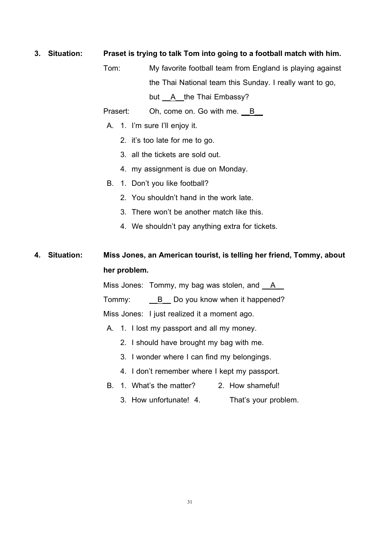#### **3. Situation: Praset is trying to talk Tom into going to a football match with him.**

Tom: My favorite football team from England is playing against the Thai National team this Sunday. I really want to go, but \_\_A\_\_the Thai Embassy?

Prasert: Oh, come on. Go with me. B

- A. 1. I'm sure I'll enjoy it.
	- 2. it's too late for me to go.
	- 3. all the tickets are sold out.
	- 4. my assignment is due on Monday.
- B. 1. Don't you like football?
	- 2. You shouldn't hand in the work late.
	- 3. There won't be another match like this.
	- 4. We shouldn't pay anything extra for tickets.

# **4. Situation: Miss Jones, an American tourist, is telling her friend, Tommy, about her problem.**

Miss Jones: Tommy, my bag was stolen, and <u>A</u>

Tommy: <u>\_\_B</u> Do you know when it happened?

Miss Jones: I just realized it a moment ago.

- A. 1. I lost my passport and all my money.
	- 2. I should have brought my bag with me.
	- 3. I wonder where I can find my belongings.
	- 4. I don't remember where I kept my passport.
- B. 1. What's the matter? 2. How shameful!
	- 3. How unfortunate! 4. That's your problem.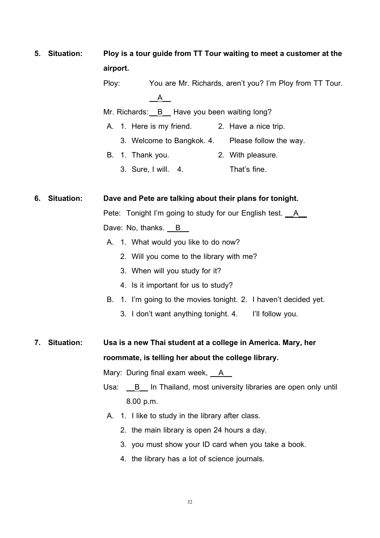| 5. | <b>Situation:</b> | Ploy is a tour guide from TT Tour waiting to meet a customer at the  |
|----|-------------------|----------------------------------------------------------------------|
|    |                   | airport.                                                             |
|    |                   | Ploy:<br>You are Mr. Richards, aren't you? I'm Ploy from TT Tour.    |
|    |                   | $\mathsf{A}$                                                         |
|    |                   | Mr. Richards: B Have you been waiting long?                          |
|    |                   | A. 1. Here is my friend.<br>2. Have a nice trip.                     |
|    |                   | 3. Welcome to Bangkok. 4. Please follow the way.                     |
|    |                   | 2. With pleasure.<br>1. Thank you.<br>В.                             |
|    |                   | That's fine.<br>3. Sure, I will. 4.                                  |
| 6. | <b>Situation:</b> | Dave and Pete are talking about their plans for tonight.             |
|    |                   | Pete: Tonight I'm going to study for our English test. __A_          |
|    |                   | Dave: No, thanks. B                                                  |
|    |                   | A. 1. What would you like to do now?                                 |
|    |                   | 2. Will you come to the library with me?                             |
|    |                   | 3. When will you study for it?                                       |
|    |                   | 4. Is it important for us to study?                                  |
|    |                   | 1. I'm going to the movies tonight. 2. I haven't decided yet.<br>В.  |
|    |                   | 3. I don't want anything tonight. 4. I'll follow you.                |
| 7. | <b>Situation:</b> | Usa is a new Thai student at a college in America. Mary, her         |
|    |                   | roommate, is telling her about the college library.                  |
|    |                   | Mary: During final exam week, __A__                                  |
|    |                   | Usa:<br>B In Thailand, most university libraries are open only until |
|    |                   | 8.00 p.m.                                                            |
|    |                   | 1. I like to study in the library after class.<br>Α.                 |
|    |                   | 2. the main library is open 24 hours a day.                          |
|    |                   | 3. you must show your ID card when you take a book.                  |
|    |                   | 4. the library has a lot of science journals.                        |
|    |                   |                                                                      |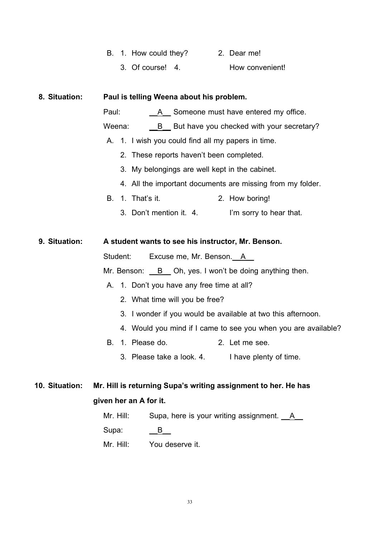|  |  | B. 1. How could they? |  | 2. Dear me! |
|--|--|-----------------------|--|-------------|
|--|--|-----------------------|--|-------------|

3. Of course! 4. How convenient!

 **8. Situation: Paul is telling Weena about his problem.** Paul: A Someone must have entered my office. Weena: **B** But have you checked with your secretary? A. 1. I wish you could find all my papers in time. 2. These reports haven't been completed. 3. My belongings are well kept in the cabinet. 4. All the important documents are missing from my folder. B. 1. That's it. 2. How boring! 3. Don't mention it. 4. I'm sorry to hear that.  **9. Situation: A student wants to see his instructor, Mr. Benson.** Student: Excuse me, Mr. Benson. A Mr. Benson: <u>B</u> Oh, yes. I won't be doing anything then. A. 1. Don't you have any free time at all? 2. What time will you be free? 3. I wonder if you would be available at two this afternoon. 4. Would you mind if I came to see you when you are available? B. 1. Please do. 2. Let me see. 3. Please take a look. 4. I have plenty of time. **10. Situation: Mr. Hill is returning Supa's writing assignment to her. He has given her an A for it.**

| Mr. Hill:    | Supa, here is your writing assignment. A |
|--------------|------------------------------------------|
| Supa:        |                                          |
| $Mr$ . Hill: | You deserve it.                          |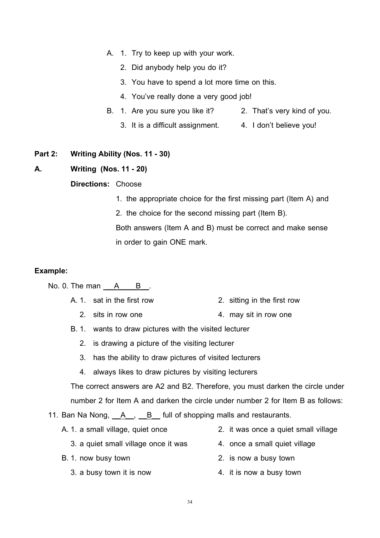- A. 1. Try to keep up with your work.
	- 2. Did anybody help you do it?
	- 3. You have to spend a lot more time on this.
	- 4. You've really done a very good job!
- B. 1. Are you sure you like it? 2. That's very kind of you.
	- 3. It is a difficult assignment. 4. I don't believe you!

#### **Part 2: Writing Ability (Nos. 11 - 30)**

#### **A. Writing (Nos. 11 - 20)**

#### **Directions:** Choose

- 1. the appropriate choice for the first missing part (Item A) and
- 2. the choice for the second missing part (Item B). Both answers (Item A and B) must be correct and make sense in order to gain ONE mark.

#### **Example:**

No. 0. The man  $\overline{A}$  B. .

- A.1. sat in the first row 2. sitting in the first row
	- 2. sits in row one 4. may sit in row one
- B.1. wants to draw pictures with the visited lecturer
	- 2. is drawing a picture of the visiting lecturer
	- 3. has the ability to draw pictures of visited lecturers
	- 4. always likes to draw pictures by visiting lecturers

The correct answers are A2 and B2. Therefore, you must darken the circle under number 2 for Item A and darken the circle under number 2 for Item B as follows:

11. Ban Na Nong,  $\underline{A}$ ,  $\underline{B}$  full of shopping malls and restaurants.

- 
- A.1. a small village, quiet once 2. it was once a quiet small village
	- 3. a quiet small village once it was 4. once a small quiet village
- B.1. now busy town 2. is now a busy town
	- 3. a busy town it is now 4. it is now a busy town
- 
- -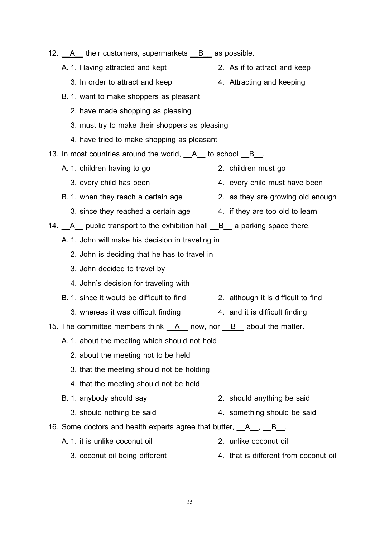| 12. A their customers, supermarkets <u>B</u> as possible.                  |                                       |
|----------------------------------------------------------------------------|---------------------------------------|
| A. 1. Having attracted and kept                                            | 2. As if to attract and keep          |
| 3. In order to attract and keep                                            | 4. Attracting and keeping             |
| B. 1. want to make shoppers as pleasant                                    |                                       |
| 2. have made shopping as pleasing                                          |                                       |
| 3. must try to make their shoppers as pleasing                             |                                       |
| 4. have tried to make shopping as pleasant                                 |                                       |
| 13. In most countries around the world, $A$ to school $B$ .                |                                       |
| A. 1. children having to go                                                | 2. children must go                   |
| 3. every child has been                                                    | 4. every child must have been         |
| B. 1. when they reach a certain age                                        | 2. as they are growing old enough     |
| 3. since they reached a certain age 4. if they are too old to learn        |                                       |
| 14. $A$ public transport to the exhibition hall $B$ a parking space there. |                                       |
| A. 1. John will make his decision in traveling in                          |                                       |
| 2. John is deciding that he has to travel in                               |                                       |
| 3. John decided to travel by                                               |                                       |
| 4. John's decision for traveling with                                      |                                       |
| B. 1. since it would be difficult to find                                  | 2. although it is difficult to find   |
| 3. whereas it was difficult finding                                        | 4. and it is difficult finding        |
| 15. The committee members think __A__ now, nor __B__ about the matter.     |                                       |
| A. 1. about the meeting which should not hold                              |                                       |
| 2. about the meeting not to be held                                        |                                       |
| 3. that the meeting should not be holding                                  |                                       |
| 4. that the meeting should not be held                                     |                                       |
| B. 1. anybody should say                                                   | 2. should anything be said            |
| 3. should nothing be said                                                  | 4. something should be said           |
| 16. Some doctors and health experts agree that butter, A, B,               |                                       |
| A. 1. it is unlike coconut oil                                             | 2. unlike coconut oil                 |
| 3. coconut oil being different                                             | 4. that is different from coconut oil |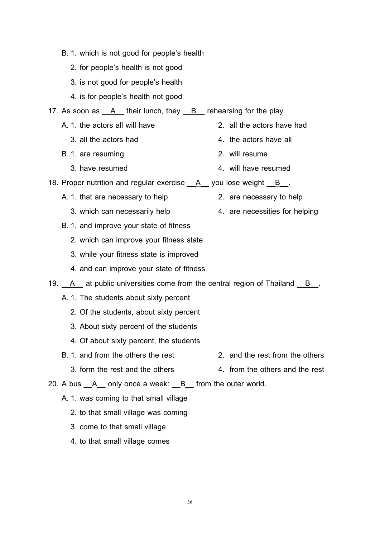- B.1. which is not good for people's health
	- 2. for people's health is not good
	- 3. is not good for people's health
	- 4. is for people's health not good
- 17. As soon as  $\underline{A}$  their lunch, they  $\underline{B}$  rehearsing for the play.
	- A. 1. the actors all will have 2. all the actors have had
		- 3. all the actors had 4. the actors have all
	- B. 1. are resuming and a set of the same 2. will resume
		- 3. have resumed 4. will have resumed
- 18. Proper nutrition and regular exercise  $A$  you lose weight  $B$ .
	- A. 1. that are necessary to help 2. are necessary to help
		- 3. which can necessarily help 4. are necessities for helping
	- B.1. and improve your state of fitness
		- 2. which can improve your fitness state
		- 3. while your fitness state is improved
		- 4. and can improve your state of fitness
- 19. A at public universities come from the central region of Thailand B. .
	- A.1. The students about sixty percent
		- 2. Of the students, about sixty percent
		- 3. About sixty percent of the students
		- 4. Of about sixty percent, the students
	- B.1. and from the others the rest 2. and the rest from the others
		- 3. form the rest and the others 4. from the others and the rest
- 20. A bus <u>A</u> only once a week: <u>B</u> from the outer world.
	- A.1. was coming to that small village
		- 2. to that small village was coming
		- 3. come to that small village
		- 4. to that small village comes
- 
- 
- 

.

- 
-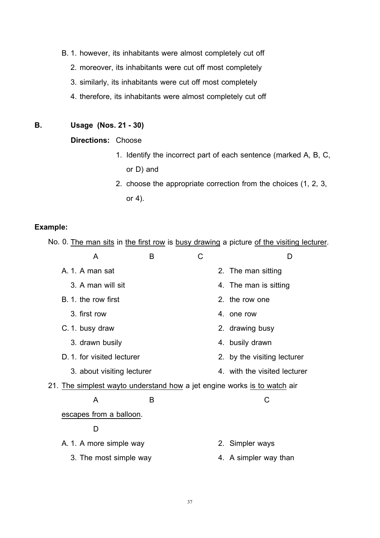- B.1. however, its inhabitants were almost completely cut off
	- 2. moreover, its inhabitants were cut off most completely
	- 3. similarly, its inhabitants were cut off most completely
	- 4. therefore, its inhabitants were almost completely cut off

# **B. Usage (Nos. 21 - 30)**

# **Directions:** Choose

- 1. Identify the incorrect part of each sentence (marked A, B, C, or D) and
- 2. choose the appropriate correction from the choices (1, 2, 3, or 4).

#### **Example:**

No. 0. <u>The man sits</u> in <u>the first row</u> is <u>busy drawing</u> a picture <u>of the visiting lecturer</u>.

| A                                                                        | B | C | D                            |
|--------------------------------------------------------------------------|---|---|------------------------------|
| A. 1. A man sat                                                          |   |   | 2. The man sitting           |
| 3. A man will sit                                                        |   |   | 4. The man is sitting        |
| B. 1. the row first                                                      |   |   | 2. the row one               |
| 3. first row                                                             |   |   | 4 one row                    |
| C. 1. busy draw                                                          |   |   | 2. drawing busy              |
| 3. drawn busily                                                          |   |   | 4. busily drawn              |
| D. 1. for visited lecturer                                               |   |   | 2. by the visiting lecturer  |
| 3. about visiting lecturer                                               |   |   | 4. with the visited lecturer |
| 21. The simplest wayto understand how a jet engine works is to watch air |   |   |                              |
| A                                                                        | в |   | C                            |
| escapes from a balloon.                                                  |   |   |                              |
| D                                                                        |   |   |                              |
| A. 1. A more simple way                                                  |   |   | 2. Simpler ways              |
| 3. The most simple way                                                   |   |   | 4. A simpler way than        |
|                                                                          |   |   |                              |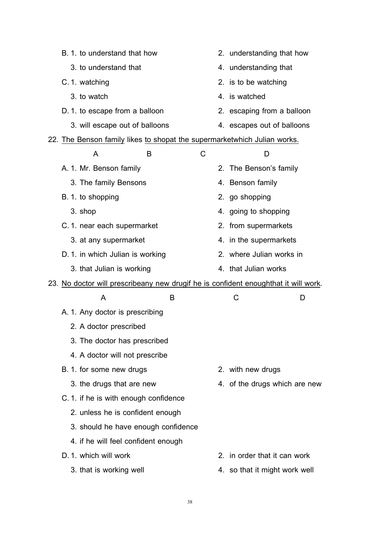| B. 1. to understand that how                                                        | 2. understanding that how     |
|-------------------------------------------------------------------------------------|-------------------------------|
| 3. to understand that                                                               | 4. understanding that         |
| C. 1. watching                                                                      | 2. is to be watching          |
| 3. to watch                                                                         | 4. is watched                 |
| D. 1. to escape from a balloon                                                      | 2. escaping from a balloon    |
| 3. will escape out of balloons                                                      | 4. escapes out of balloons    |
| 22. The Benson family likes to shopat the supermarketwhich Julian works.            |                               |
| C<br>A<br>в                                                                         | D                             |
| A. 1. Mr. Benson family                                                             | 2. The Benson's family        |
| 3. The family Bensons                                                               | 4. Benson family              |
| B. 1. to shopping                                                                   | 2. go shopping                |
| 3. shop                                                                             | 4. going to shopping          |
| C. 1. near each supermarket                                                         | 2. from supermarkets          |
| 3. at any supermarket                                                               | 4. in the supermarkets        |
| D. 1. in which Julian is working                                                    | 2. where Julian works in      |
| 3. that Julian is working                                                           | 4. that Julian works          |
| 23. No doctor will prescribeany new drugif he is confident enoughthat it will work. |                               |
| A<br>B                                                                              | C<br>D                        |
| A. 1. Any doctor is prescribing                                                     |                               |
| 2. A doctor prescribed                                                              |                               |
| 3. The doctor has prescribed                                                        |                               |
| 4. A doctor will not prescribe                                                      |                               |
| B. 1. for some new drugs                                                            | 2. with new drugs             |
|                                                                                     |                               |
| 3. the drugs that are new                                                           | 4. of the drugs which are new |
| C. 1. if he is with enough confidence                                               |                               |
| 2. unless he is confident enough                                                    |                               |
| 3. should he have enough confidence                                                 |                               |
| 4. if he will feel confident enough                                                 |                               |
| D. 1. which will work                                                               | 2. in order that it can work  |
| 3. that is working well                                                             | 4. so that it might work well |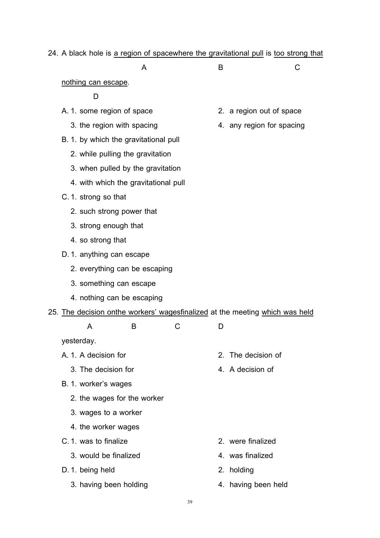# 24. A black hole is a region of spacewhere the gravitational pull is too strong that

| <b>A</b> | $\sim$ |
|----------|--------|
|          |        |

nothing can escape .

D

- A. 1. some region of space 2. a region out of space
	-
- B.1. by which the gravitational pull
	- 2. while pulling the gravitation
	- 3. when pulled by the gravitation
	- 4. with which the gravitational pull
- C.1. strong so that
	- 2. such strong power that
	- 3. strong enough that
	- 4. so strong that
- D.1. anything can escape
	- 2. everything can be escaping
	- 3. something can escape
	- 4. nothing can be escaping
- 25. The decision onthe workers' wagesfinalized at the meeting which was held

| $\overline{A}$<br>. . |  | D<br>- |
|-----------------------|--|--------|
|                       |  |        |

yesterday.

- A.1. A decision for 2. The decision of
	- 3. The decision for **4.** A decision of
- B.1. worker's wages
	- 2. the wages for the worker
	- 3. wages to a worker
	- 4. the worker wages
- C.1. was to finalize 2. were finalized
	- 3. would be finalized and the state of the 4. was finalized
- D. 1. being held 2. holding
	- 3. having been holding and the same than 4. having been held
- 
- 3. the region with spacing and the state of the region for spacing

- 
- 
- 
-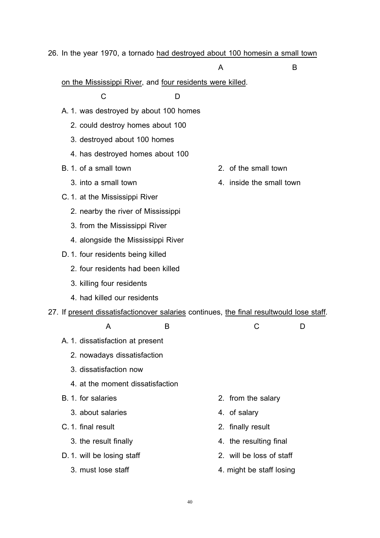| 26. In the year 1970, a tornado had destroyed about 100 homesin a small town |  |
|------------------------------------------------------------------------------|--|
|------------------------------------------------------------------------------|--|

# A B

|  | on the Mississippi River, and four residents were killed. |  |  |  |
|--|-----------------------------------------------------------|--|--|--|
|  |                                                           |  |  |  |

C D

- A.1. was destroyed by about 100 homes
	- 2. could destroy homes about 100
	- 3. destroyed about 100 homes
	- 4. has destroyed homes about 100
- B.1. of a small town 2. of the small town
	- 3. into a small town  $\frac{4}{100}$  a small town
- C.1. at the Mississippi River
	- 2. nearby the river of Mississippi
	- 3. from the Mississippi River
	- 4. alongside the Mississippi River
- D.1. four residents being killed
	- 2. four residents had been killed
	- 3. killing four residents
	- 4. had killed our residents

#### 27. If present dissatisfactionover salaries continues, the final resultwould lose staff. .

|  | A                                | B |                          |  |
|--|----------------------------------|---|--------------------------|--|
|  | A. 1. dissatisfaction at present |   |                          |  |
|  | 2. nowadays dissatisfaction      |   |                          |  |
|  | 3. dissatisfaction now           |   |                          |  |
|  | 4. at the moment dissatisfaction |   |                          |  |
|  | B. 1. for salaries               |   | 2. from the salary       |  |
|  | 3. about salaries                |   | 4. of salary             |  |
|  | C. 1. final result               |   | 2. finally result        |  |
|  | 3. the result finally            |   | 4. the resulting final   |  |
|  | D. 1. will be losing staff       |   | 2. will be loss of staff |  |
|  | 3. must lose staff               |   | 4. might be staff losing |  |
|  |                                  |   |                          |  |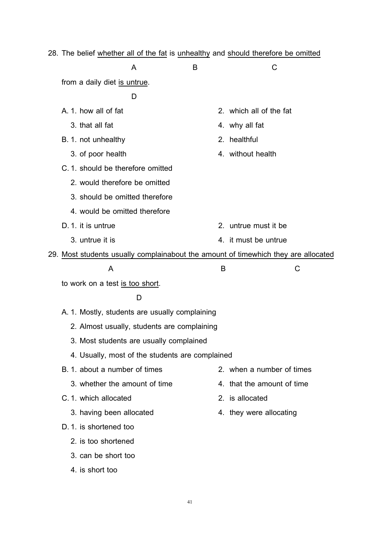|  | 28. The belief whether all of the fat is unhealthy and should therefore be omitted |   |                                                                                    |
|--|------------------------------------------------------------------------------------|---|------------------------------------------------------------------------------------|
|  | A                                                                                  | В | C                                                                                  |
|  | from a daily diet is untrue.                                                       |   |                                                                                    |
|  | D                                                                                  |   |                                                                                    |
|  | A. 1. how all of fat                                                               |   | 2. which all of the fat                                                            |
|  | 3. that all fat                                                                    |   | 4. why all fat                                                                     |
|  | B. 1. not unhealthy                                                                |   | 2. healthful                                                                       |
|  | 3. of poor health                                                                  |   | 4. without health                                                                  |
|  | C. 1. should be therefore omitted                                                  |   |                                                                                    |
|  | 2. would therefore be omitted                                                      |   |                                                                                    |
|  | 3. should be omitted therefore                                                     |   |                                                                                    |
|  | 4. would be omitted therefore                                                      |   |                                                                                    |
|  | D. 1. it is untrue                                                                 |   | 2. untrue must it be                                                               |
|  | 3. untrue it is                                                                    |   | 4. it must be untrue                                                               |
|  |                                                                                    |   | 29. Most students usually complainabout the amount of timewhich they are allocated |
|  | A                                                                                  | B | C                                                                                  |
|  | to work on a test is too short.                                                    |   |                                                                                    |
|  | D                                                                                  |   |                                                                                    |
|  | A. 1. Mostly, students are usually complaining                                     |   |                                                                                    |
|  | 2. Almost usually, students are complaining                                        |   |                                                                                    |
|  | 3. Most students are usually complained                                            |   |                                                                                    |
|  | 4. Usually, most of the students are complained                                    |   |                                                                                    |
|  | B. 1. about a number of times                                                      |   | 2. when a number of times                                                          |
|  | 3. whether the amount of time                                                      |   | 4. that the amount of time                                                         |
|  | C. 1. which allocated                                                              |   | 2. is allocated                                                                    |
|  | 3. having been allocated                                                           |   | 4. they were allocating                                                            |
|  | D. 1. is shortened too                                                             |   |                                                                                    |
|  | 2. is too shortened                                                                |   |                                                                                    |
|  | 3. can be short too                                                                |   |                                                                                    |
|  | 4. is short too                                                                    |   |                                                                                    |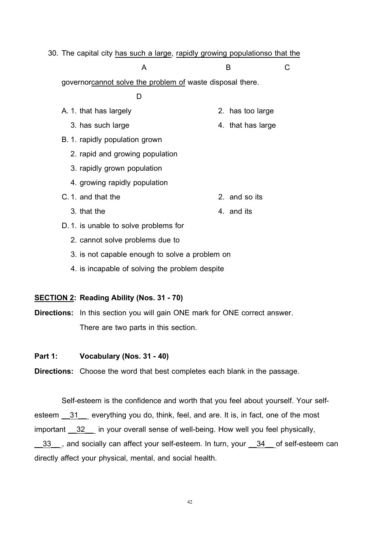| 30. The capital city has such a large, rapidly growing populationso that the |                   |   |
|------------------------------------------------------------------------------|-------------------|---|
| A                                                                            | в                 | C |
| governorcannot solve the problem of waste disposal there.                    |                   |   |
| D                                                                            |                   |   |
| A. 1. that has largely                                                       | 2. has too large  |   |
| 3. has such large                                                            | 4. that has large |   |
| B. 1. rapidly population grown                                               |                   |   |
| 2. rapid and growing population                                              |                   |   |
| 3. rapidly grown population                                                  |                   |   |
| 4. growing rapidly population                                                |                   |   |
| C. 1. and that the                                                           | 2. and so its     |   |
| 3. that the                                                                  | 4. and its        |   |
| D. 1. is unable to solve problems for                                        |                   |   |
| 2. cannot solve problems due to                                              |                   |   |
| 3. is not capable enough to solve a problem on                               |                   |   |

4. is incapable of solving the problem despite

# **SECTION 2 : Reading Ability (Nos. 31 - 70)**

**Directions:** In this section you will gain ONE mark for ONE correct answer. There are two parts in this section.

### **Part 1: Vocabulary (Nos. 31 - 40)**

**Directions:** Choose the word that best completes each blank in the passage.

Self-esteem is the confidence and worth that you feel about yourself. Your selfesteem 31\_ everything you do, think, feel, and are. It is, in fact, one of the most important 32 in your overall sense of well-being. How well you feel physically, 33 gand socially can affect your self-esteem. In turn, your 34 of self-esteem can directly affect your physical, mental, and social health.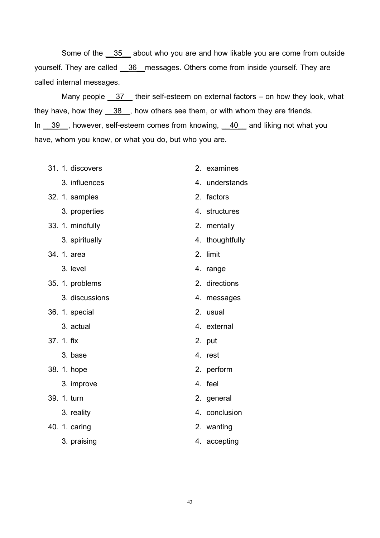Some of the 35 about who you are and how likable you are come from outside yourself. They are called <u>\_\_36\_\_</u>messages. Others come from inside yourself. They are called internal messages.

Many people <u>37</u> their self-esteem on external factors – on how they look, what they have, how they  $\frac{38}{10}$ , how others see them, or with whom they are friends. In \_39\_, however, self-esteem comes from knowing, \_40\_ and liking not what you have, whom you know, or what you do, but who you are.

- 31. 1. discovers 2. examines
	- 3. influences 4. understands
- 32. 1. samples 2. factors
	-
- 33. 1. mindfully 2. mentally
	-
- 34. 1. area 2. limit
	-
- 35. 1. problems 2. directions
	- 3. discussions 4. messages
- 36. 1. special 2. usual
	-
- 37. 1. fix 2. put
	- 3. base 4. rest
- 38. 1. hope 2. perform
	- 3. improve 4. feel
- 39. 1. turn 2. general
	-
- 40. 1. caring **2. wanting** 
	-
- 
- 
- 3. properties 4. structures
	-
- 3. spiritually 4. thoughtfully
	-
- 3. level 3. expanding the 4. range
	-
	-
	-
- 3. actual 4. external
	-
	-
	-
	-
	-
- 3. reality 4. conclusion
	-
- 3. praising 3. accepting 3. accepting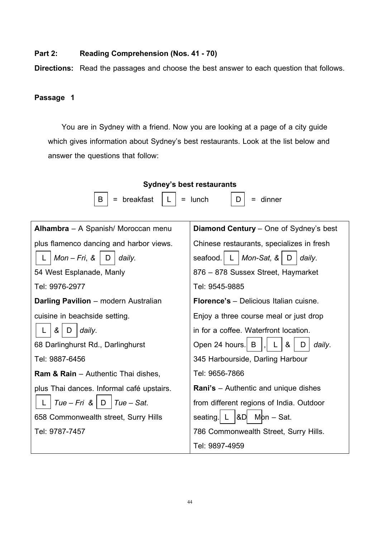## **Part 2: Reading Comprehension (Nos. 41 - 70)**

**Directions:** Read the passages and choose the best answer to each question that follows.

# **Passage 1**

You are in Sydney with a friend. Now you are looking at a page of a city guide which gives information about Sydney's best restaurants. Look at the list below and answer the questions that follow:

| <b>Sydney's best restaurants</b>               |                                               |  |  |  |
|------------------------------------------------|-----------------------------------------------|--|--|--|
| breakfast<br>В<br>Ξ                            | lunch<br>$=$ dinner<br>D                      |  |  |  |
| Alhambra - A Spanish/ Moroccan menu            | <b>Diamond Century</b> – One of Sydney's best |  |  |  |
| plus flamenco dancing and harbor views.        | Chinese restaurants, specializes in fresh     |  |  |  |
| $Mon-Fri, &$<br>daily.<br>D                    | Mon-Sat, &<br>seafood.<br>daily.<br>D         |  |  |  |
| 54 West Esplanade, Manly                       | 876 - 878 Sussex Street, Haymarket            |  |  |  |
| Tel: 9976-2977                                 | Tel: 9545-9885                                |  |  |  |
| <b>Darling Pavilion</b> – modern Australian    | <b>Florence's</b> – Delicious Italian cuisne. |  |  |  |
| cuisine in beachside setting.                  | Enjoy a three course meal or just drop        |  |  |  |
| &<br>daily.<br>D                               | in for a coffee. Waterfront location.         |  |  |  |
| 68 Darlinghurst Rd., Darlinghurst              | &<br>Open 24 hours. B<br>daily.<br>D          |  |  |  |
| Tel: 9887-6456                                 | 345 Harbourside, Darling Harbour              |  |  |  |
| <b>Ram &amp; Rain</b> – Authentic Thai dishes, | Tel: 9656-7866                                |  |  |  |
| plus Thai dances. Informal café upstairs.      | <b>Rani's</b> – Authentic and unique dishes   |  |  |  |
| $Tue-Fri$ &<br>$Tue - Sat$ .<br>D<br>L.        | from different regions of India. Outdoor      |  |  |  |
| 658 Commonwealth street, Surry Hills           | &D<br>seating.<br>$Mbn - Sat$ .               |  |  |  |
| Tel: 9787-7457                                 | 786 Commonwealth Street, Surry Hills.         |  |  |  |
|                                                | Tel: 9897-4959                                |  |  |  |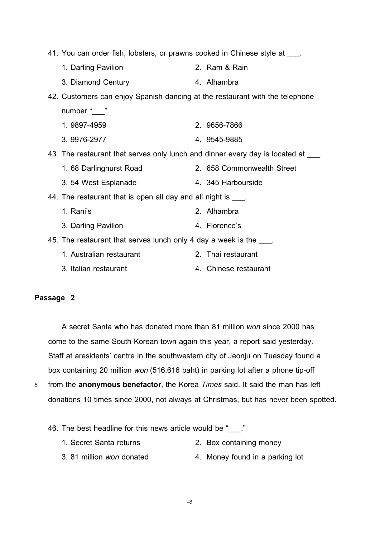| 41. You can order fish, lobsters, or prawns cooked in Chinese style at ___.       |                            |
|-----------------------------------------------------------------------------------|----------------------------|
| 1. Darling Pavilion                                                               | 2. Ram & Rain              |
| 3. Diamond Century                                                                | 4. Alhambra                |
| 42. Customers can enjoy Spanish dancing at the restaurant with the telephone      |                            |
| number " $\frac{1}{2}$ ".                                                         |                            |
| 1.9897-4959                                                                       | 2. 9656-7866               |
| 3.9976-2977                                                                       | 4. 9545-9885               |
| 43. The restaurant that serves only lunch and dinner every day is located at ___. |                            |
| 1. 68 Darlinghurst Road                                                           | 2. 658 Commonwealth Street |
| 3.54 West Esplanade                                                               | 4. 345 Harbourside         |
| 44. The restaurant that is open all day and all night is ____.                    |                            |
| 1. Rani's                                                                         | 2. Alhambra                |
| 3. Darling Pavilion                                                               | 4. Florence's              |
| 45. The restaurant that serves lunch only 4 day a week is the ____.               |                            |
| 1. Australian restaurant                                                          | 2. Thai restaurant         |
| 3. Italian restaurant                                                             | 4. Chinese restaurant      |

## **Passage 2**

A secret Santa who has donated more than 81 million *won* since 2000 has come to the same South Korean town again this year, a report said yesterday. Staff at aresidents' centre in the southwestern city of Jeonju on Tuesday found a box containing 20 million *won* (516,616 baht) in parking lot after a phone tip-off

5 from the **anonymous benefactor**, the Korea *Times* said. It said the man has left donations 10 times since 2000, not always at Christmas, but has never been spotted.

46. The best headline for this news article would be "..."

- 1. Secret Santa returns 2. Box containing money
	-
- 3. 81 million *won* donated 4. Money found in a parking lot
-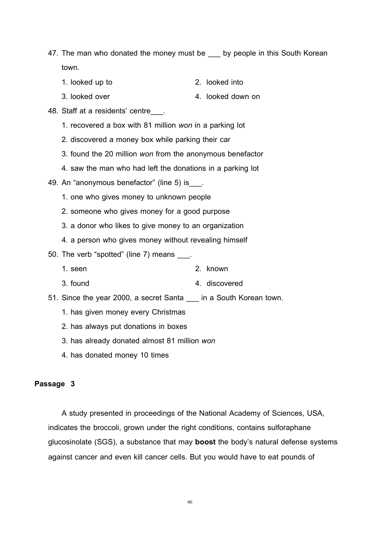- 47. The man who donated the money must be \_\_\_\_ by people in this South Korean town.
	- 1. looked up to 2. looked into
	- 3. looked over 1. and 1. looked down on
- 48. Staff at a residents' centre\_\_\_.
	- 1. recovered a box with 81 million *won* in a parking lot
	- 2. discovered a money box while parking their car
	- 3. found the 20 million *won* from the anonymous benefactor
	- 4. saw the man who had left the donations in a parking lot
- 49. An "anonymous benefactor" (line 5) is ...
	- 1. one who gives money to unknown people
	- 2. someone who gives money for a good purpose
	- 3. a donor who likes to give money to an organization
	- 4. a person who gives money without revealing himself
- 50. The verb "spotted" (line 7) means \_\_\_.
	- 1. seen 2. known
	- 3. found 3. found 3. found 3. found 3. found 3. found 3. found 3. found 3. found 3. found 3. found 3. found 3.
- 51. Since the year 2000, a secret Santa \_\_\_ in a South Korean town.
	- 1. has given money every Christmas
	- 2. has always put donations in boxes
	- 3. has already donated almost 81 million *won*
	- 4. has donated money 10 times

#### **Passage 3**

A study presented in proceedings of the National Academy of Sciences, USA, indicates the broccoli, grown under the right conditions, contains sulforaphane glucosinolate (SGS), a substance that may **boost** the body's natural defense systems against cancer and even kill cancer cells. But you would have to eat pounds of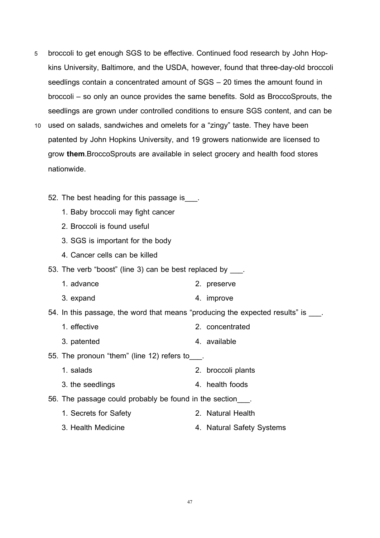- 5 broccoli to get enough SGS to be effective. Continued food research by John Hopkins University, Baltimore, and the USDA, however, found that three-day-old broccoli seedlings contain a concentrated amount of SGS – 20 times the amount found in broccoli – so only an ounce provides the same benefits. Sold as BroccoSprouts, the seedlings are grown under controlled conditions to ensure SGS content, and can be
- 10 used on salads, sandwiches and omelets for a "zingy" taste. They have been patented by John Hopkins University, and 19 growers nationwide are licensed to grow **them**.BroccoSprouts are available in select grocery and health food stores nationwide.
	- 52. The best heading for this passage is .
		- 1. Baby broccoli may fight cancer
		- 2. Broccoli is found useful
		- 3. SGS is important for the body
		- 4. Cancer cells can be killed

53. The verb "boost" (line 3) can be best replaced by \_\_\_.

- 1. advance 2. preserve
- 3. expand 3. expand 4. improve
- 54. In this passage, the word that means "producing the expected results" is \_\_\_.
	- 1. effective 2. concentrated
	- 3. patented 3. available

55. The pronoun "them" (line 12) refers to ...

- 1. salads 2. broccoli plants
- 3. the seedlings and the seedlings of the seedlings and the set of the set of the set of the set of the set of the set of the set of the set of the set of the set of the set of the set of the set of the set of the set of t
- 56. The passage could probably be found in the section.
	- 1. Secrets for Safety 2. Natural Health
	- 3. Health Medicine **4. Natural Safety Systems**

47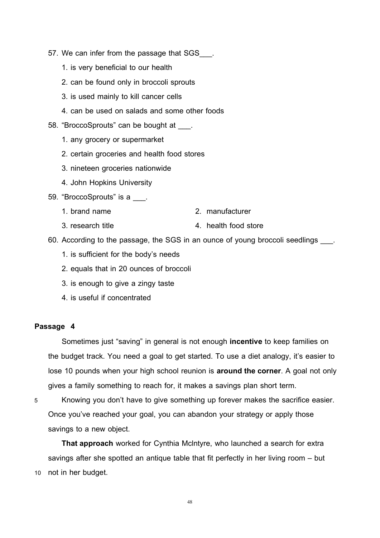- 57. We can infer from the passage that SGS .
	- 1. is very beneficial to our health
	- 2. can be found only in broccoli sprouts
	- 3. is used mainly to kill cancer cells
	- 4. can be used on salads and some other foods
- 58. "BroccoSprouts" can be bought at  $\qquad$ .
	- 1. any grocery or supermarket
	- 2. certain groceries and health food stores
	- 3. nineteen groceries nationwide
	- 4. John Hopkins University
- 59. "BroccoSprouts" is a \_\_\_.
	- 1. brand name 2. manufacturer
		-
	- 3. research title 4. health food store
- 60. According to the passage, the SGS in an ounce of young broccoli seedlings ...
	- 1. is sufficient for the body's needs
	- 2. equals that in 20 ounces of broccoli
	- 3. is enough to give a zingy taste
	- 4. is useful if concentrated

#### **Passage 4**

Sometimes just "saving" in general is not enough **incentive** to keep families on the budget track. You need a goal to get started. To use a diet analogy, it's easier to lose 10 pounds when your high school reunion is **around the corner**. A goal not only gives a family something to reach for, it makes a savings plan short term.

5 Knowing you don't have to give something up forever makes the sacrifice easier. Once you've reached your goal, you can abandon your strategy or apply those savings to a new object.

**That approach** worked for Cynthia Mclntyre, who launched a search for extra savings after she spotted an antique table that fit perfectly in her living room – but 10 not in her budget.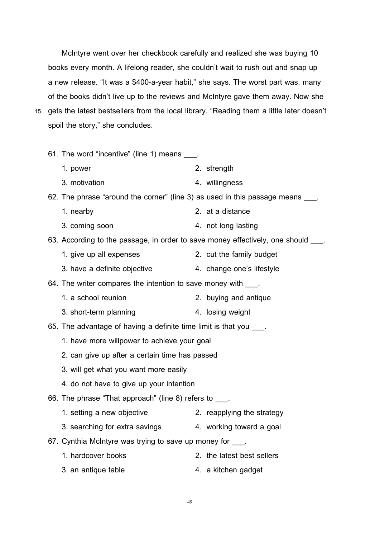McIntyre went over her checkbook carefully and realized she was buying 10 books every month. A lifelong reader, she couldn't wait to rush out and snap up a new release. "It was a \$400-a-year habit," she says. The worst part was, many of the books didn't live up to the reviews and McIntyre gave them away. Now she 15 gets the latest bestsellers from the local library. "Reading them a little later doesn't spoil the story," she concludes.

61. The word "incentive" (line 1) means \_\_\_. 1. power 2. strength 3. motivation 4. willingness 62. The phrase "around the corner" (line 3) as used in this passage means \_\_\_. 1. nearby 2. at a distance 3. coming soon 4. not long lasting 63. According to the passage, in order to save money effectively, one should \_\_\_. 1. give up all expenses 2. cut the family budget 3. have a definite objective 4. change one's lifestyle 64. The writer compares the intention to save money with \_\_\_. 1. a school reunion 2. buying and antique 3. short-term planning and the 4. losing weight 65. The advantage of having a definite time limit is that you \_\_\_\_. 1. have more willpower to achieve your goal 2. can give up after a certain time has passed 3. will get what you want more easily 4. do not have to give up your intention 66. The phrase "That approach" (line 8) refers to \_\_\_. 1. setting a new objective 2. reapplying the strategy 3. searching for extra savings 4. working toward a goal 67. Cynthia McIntyre was trying to save up money for . 1. hardcover books 2. the latest best sellers 3. an antique table 4. a kitchen gadget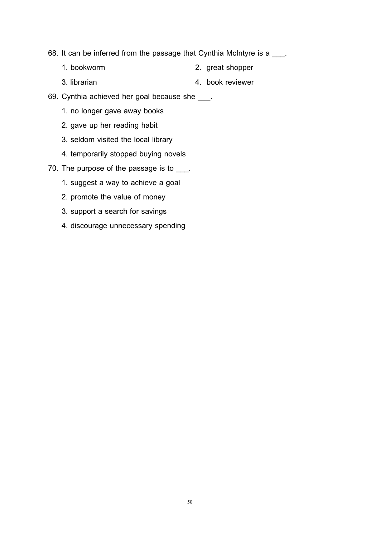68. It can be inferred from the passage that Cynthia McIntyre is a \_\_\_.

- 1. bookworm 2. great shopper
- 3. librarian 4. book reviewer
- 69. Cynthia achieved her goal because she \_\_\_.
	- 1. no longer gave away books
	- 2. gave up her reading habit
	- 3. seldom visited the local library
	- 4. temporarily stopped buying novels
- 70. The purpose of the passage is to \_\_\_.
	- 1. suggest a way to achieve a goal
	- 2. promote the value of money
	- 3. support a search for savings
	- 4. discourage unnecessary spending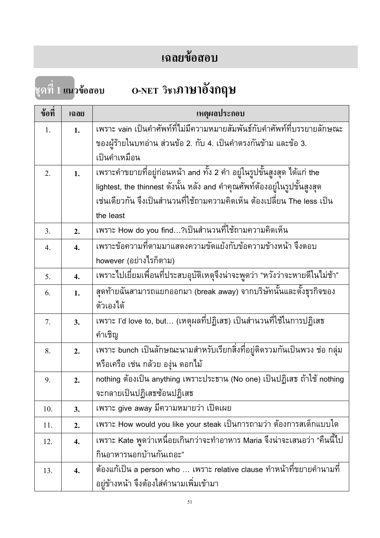# **เฉลยขอสอบ**

**ชุดที่ 1 แนวขอสอบ O-NET วิชาภาษาอังกฤษ**

| ข้อที่ | เฉลย | เหตุผลประกอบ                                                                   |
|--------|------|--------------------------------------------------------------------------------|
| 1.     | 1.   | <u>เพราะ vain เป็นคำศัพท์ที่ไม่มีความหมายสัมพันธ์กับคำศัพท์ที่บรรยายลักษณะ</u> |
|        |      | ของผู้ร้ายในบทอ่าน ส่วนข้อ 2. กับ 4. เป็นคำตรงกันข้าม และข้อ 3.                |
|        |      | เป็นคำเหมือน                                                                   |
| 2.     | 1.   | ูเพราะคำขยายที่อยู่ก่อนหน้า and ทั้ง 2 คำ อยู่ในรูปขั้นสูงสุด ได้แก่ the       |
|        |      | lightest, the thinnest ดังนั้น หลัง and คำคุณศัพท์ต้องอยู่ในรูปขั้นสูงสุด      |
|        |      | เช่นเดียวกัน จึงเป็นสำนวนที่ใช้ถามความคิดเห็น ต้องเปลี่ยน The less เป็น        |
|        |      | the least                                                                      |
| 3.     | 2.   | เพราะ How do you find…?เป็นสำนวนที่ใช้ถามความคิดเห็น                           |
| 4.     | 4.   | เพราะข้อความที่ตามมาแสดงความขัดแย้งกับข้อความข้างหน้า จึงตอบ                   |
|        |      | however (อย่างไรก็ตาม)                                                         |
| 5.     | 4.   | เพราะไปเยี่ยมเพื่อนที่ประสบอุบัติเหตุจึงน่าจะพูดว่า "หวังว่าจะหายดีในไม่ช้า"   |
| 6.     | 1.   | สุดท้ายฉันสามารถแยกออกมา (break away) จากบริษัทนั้นและตั้งธุรกิจของ            |
|        |      | ตัวเองได้                                                                      |
| 7.     | 3.   | เพราะ I'd love to, but (เหตุผลที่ปฏิเสธ) เป็นสำนวนที่ใช้ในการปฏิเสธ            |
|        |      | คำเชิญ                                                                         |
| 8.     | 2.   | ูเพราะ bunch เป็นลักษณะนามสำหรับเรียกสิ่งที่อยู่ติดรวมกันเป็นพวง ช่อ กลุ่ม     |
|        |      | หรือเครือ เช่น กล้วย องุ่น ดอกไม้                                              |
| 9.     | 2.   | nothing ต้องเป็น anything เพราะประธาน (No one) เป็นปฏิเสธ ถ้าใช้ nothing       |
|        |      | จะกลายเป็นปฏิเสธซ้อนปฏิเสธ                                                     |
| 10.    | 3.   | เพราะ give away มีความหมายว่า เปิดเผย                                          |
| 11.    | 2.   | เพราะ How would you like your steak เป็นการถามว่า ต้องการสเต็กแบบใด            |
| 12.    | 4.   | ูเพราะ Kate พูดว่าเหนื่อยเกินกว่าจะทำอาหาร Maria จึงน่าจะเสนอว่า "คืนนี้ไป     |
|        |      | กินอาหารนอกบ้านกันเถอะ"                                                        |
| 13.    | 4.   | ต้องแก้เป็น a person who … เพราะ relative clause ทำหน้าที่ขยายคำนามที่         |
|        |      | อยู่ข้างหน้า จึงต้องใส่คำนามเพิ่มเข้ามา                                        |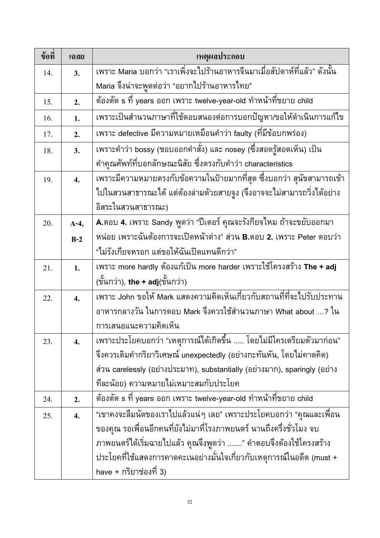| ข้อที่ | เฉลย             | เหตุผลประกอบ                                                                          |
|--------|------------------|---------------------------------------------------------------------------------------|
| 14.    | 3.               | เพราะ Maria บอกว่า "เราเพิ่งจะไปร้านอาหารจีนมาเมื่อสัปดาห์ที่แล้ว" ดังนั้น            |
|        |                  | Maria จึงน่าจะพูดต่อว่า "อยากไปร้านอาหารไทย"                                          |
| 15.    | 2.               | ต้องตัด s ที่ years ออก เพราะ twelve-year-old ทำหน้าที่ขยาย child                     |
| 16.    | 1.               | เพราะเป็นสำนวนภาษาที่ใช้ตอบสนองต่อการบอกปัญหา/ขอให้ดำเนินการแก้ไข                     |
| 17.    | 2.               | เพราะ defective มีความหมายเหมือนคำว่า faulty (ที่มีข้อบกพร่อง)                        |
| 18.    | 3.               | ูเพราะคำว่า bossy (ชอบออกคำสั่ง) และ nosey (ซึ่งสอดรู้สอดเห็น) เป็น                   |
|        |                  | ้คำคุณศัพท์ที่บอกลักษณะนิสัย ซึ่งตรงกับคำว่า characteristics                          |
| 19.    | $\overline{4}$ . | เพราะมีความหมายตรงกับข้อความในป้ายมากที่สุด ซึ่งบอกว่า สุนัขสามารถเข้า                |
|        |                  | ไปในสวนสาธารณะได้ แต่ต้องล่ามด้วยสายจูง (จึงอาจจะไม่สามารถวิ่งได้อย่าง                |
|        |                  | อิสระในสวนสาธารณะ)                                                                    |
| 20.    | $A-4,$           | A.ตอบ 4. เพราะ Sandy พูดว่า "ปีเตอร์ คุณจะรังกียจไหม ถ้าจะขยับออกมา                   |
|        | $B-2$            | หน่อย เพราะฉันต้องการจะเปิดหน้าต่าง" ส่วน <b>B.</b> ตอบ <b>2. เ</b> พราะ Peter ตอบว่า |
|        |                  | "ไม่รังเกียจหรอก แต่ขอให้ฉันเปิดแทนดีกว่า"                                            |
| 21.    | 1.               | เพราะ more hardly ต้องแก้เป็น more harder เพราะใช้โครงสร้าง The + adj                 |
|        |                  | (ขั้นกว่า), the + adj $(\tilde{$ lันกว่า)                                             |
| 22.    | $\overline{4}$ . | เพราะ John ขอให้ Mark แสดงความคิดเห็นเกี่ยวกับสถานที่ที่จะไปรับประทาน                 |
|        |                  | อาหารกลางวัน ในการตอบ Mark จึงควรใช้สำนวนภาษา What about …? ใน                        |
|        |                  | การเสนอแนะความคิดเห็น                                                                 |
| 23.    | 4.               | ้เพราะประโยคบอกว่า "เหตุการณ์ได้เกิดขึ้น  โดยไม่มีใครเตรียมตัวมาก่อน"                 |
|        |                  | จึงควรเติมคำกริยาวิเศษณ์ unexpectedly (อย่างกะทันหัน, โดยไม่คาดคิด)                   |
|        |                  | ส่วน carelessly (อย่างประมาท), substantially (อย่างมาก), sparingly (อย่าง             |
|        |                  | ที่ละน้อย) ความหมายไม่เหมาะสมกับประโยค                                                |
| 24.    | 2.               | ต้องตัด s ที่ years ออก เพราะ twelve-year-old ทำหน้าที่ขยาย child                     |
| 25.    | 4.               | "เขาคงจะลืมนัดของเราไปแล้วแน่ๆ เลย" เพราะประโยคบอกว่า "คุณและเพื่อน                   |
|        |                  | ของคุณ รอเพื่อนอีกคนที่ยังไม่มาที่โรงภาพยนตร์ นานถึงครึ่งชั่วโมง จบ                   |
|        |                  | ภาพยนตร์ได้เริ่มฉายไปแล้ว คุณจึงพูดว่า " คำตอบจึงต้องใช้โครงสร้าง                     |
|        |                  | ประโยคที่ใช้แสดงการคาดคะเนอย่างมั่นใจเกี่ยวกับเหตุการณ์ในอดีต (must +                 |
|        |                  | have + กริยาช่องที่ 3)                                                                |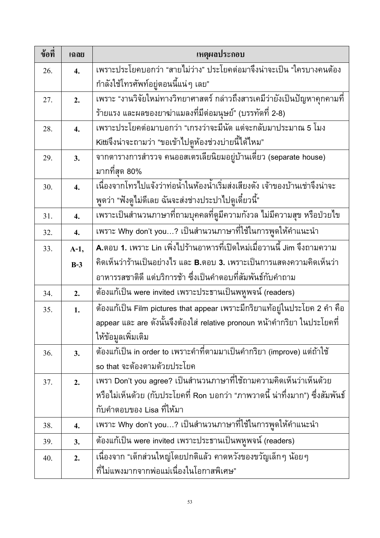| ข้อที่ | เฉลย             | เหตุผลประกอบ                                                                          |  |  |  |  |  |
|--------|------------------|---------------------------------------------------------------------------------------|--|--|--|--|--|
| 26.    | $\overline{4}$ . | เพราะประโยคบอกว่า "สายไม่ว่าง" ประโยคต่อมาจึงน่าจะเป็น "ใครบางคนต้อง                  |  |  |  |  |  |
|        |                  | กำลังใช้โทรศัพท์อยู่ตอนนี้แน่ๆ เลย"                                                   |  |  |  |  |  |
| 27.    | 2.               | เพราะ "งานวิจัยใหม่ทางวิทยาศาสตร์ กล่าวถึงสารเคมีว่ายังเป็นปัญหาคุกคามที่             |  |  |  |  |  |
|        |                  | ร้ายแรง และผลของยาฆ่าแมลงที่มีต่อมนุษย์" (บรรทัดที่ 2-8)                              |  |  |  |  |  |
| 28.    | $\overline{4}$ . | เพราะประโยคต่อมาบอกว่า "เกรงว่าจะมีนัด แต่จะกลับมาประมาณ 5 โมง                        |  |  |  |  |  |
|        |                  | Kittiจึงน่าจะถามว่า "ขอเข้าไปดูห้องช่วงบ่ายนี้ได้ไหม"                                 |  |  |  |  |  |
| 29.    | 3.               | จากตารางการสำรวจ คนออสเตรเลียนิยมอยู่บ้านเดี่ยว (separate house)                      |  |  |  |  |  |
|        |                  | มากที่สุด 80%                                                                         |  |  |  |  |  |
| 30.    | $\overline{4}$ . | เนื่องจากโทรไปแจ้งว่าท่อน้ำในห้องน้ำเริ่มส่งเสียงดัง เจ้าของบ้านเช่าจึงน่าจะ          |  |  |  |  |  |
|        |                  | พูดว่า "ฟังดูไม่ดีเลย ฉันจะส่งช่างประปาไปดูเดี๋ยวนี้"                                 |  |  |  |  |  |
| 31.    | 4.               | เพราะเป็นสำนวนภาษาที่ถามบุคคลที่ดูมีความกังวล ไม่มีความสุข หรือป่วยไข                 |  |  |  |  |  |
| 32.    | $\overline{4}$ . | เพราะ Why don't you…? เป็นสำนวนภาษาที่ใช้ในการพูดให้คำแนะนำ                           |  |  |  |  |  |
| 33.    | $A-1,$           | A.ตอบ 1. เพราะ Lin เพิ่งไปร้านอาหารที่เปิดใหม่เมื่อวานนี้ Jim จึงถามความ              |  |  |  |  |  |
|        | $B-3$            | ้คิดเห็นว่าร้านเป็นอย่างไร และ <b>B</b> .ตอบ <b>3.</b> เพราะเป็นการแสดงความคิดเห็นว่า |  |  |  |  |  |
|        |                  | อาหารรสชาติดี แต่บริการช้า ซึ่งเป็นคำตอบที่สัมพันธ์กับคำถาม                           |  |  |  |  |  |
| 34.    | 2.               | ต้องแก้เป็น were invited เพราะประธานเป็นพหูพจน์ (readers)                             |  |  |  |  |  |
| 35.    | 1.               | ต้องแก้เป็น Film pictures that appear เพราะมีกริยาแท้อยู่ในประโยค 2 คำ คือ            |  |  |  |  |  |
|        |                  | appear และ are ดังนั้นจึงต้องใส่ relative pronoun หน้าคำกริยา ในประโยคที่             |  |  |  |  |  |
|        |                  | ให้ข้อมูลเพิ่มเติม                                                                    |  |  |  |  |  |
| 36.    | 3.               | ต้องแก้เป็น in order to เพราะคำที่ตามมาเป็นคำกริยา (improve) แต่ถ้าใช้                |  |  |  |  |  |
|        |                  | so that จะต้องตามด้วยประโยค                                                           |  |  |  |  |  |
| 37.    | 2.               | เพรา Don't you agree? เป็นสำนวนภาษาที่ใช้ถามความคิดเห็นว่าเห็นด้วย                    |  |  |  |  |  |
|        |                  | หรือไม่เห็นด้วย (กับประโยคที่ Ron บอกว่า "ภาพวาดนี้ น่าทึ่งมาก") ซึ่งสัมพันธ์         |  |  |  |  |  |
|        |                  | กับคำตอบของ Lisa ที่ให้มา                                                             |  |  |  |  |  |
| 38.    | 4.               | เพราะ Why don't you…? เป็นสำนวนภาษาที่ใช้ในการพูดให้คำแนะนำ                           |  |  |  |  |  |
| 39.    | 3.               | ต้องแก้เป็น were invited เพราะประธานเป็นพหูพจน์ (readers)                             |  |  |  |  |  |
| 40.    | 2.               | เนื่องจาก "เด็กส่วนใหญ่โดยปกติแล้ว คาดหวังของขวัญเล็กๆ น้อยๆ                          |  |  |  |  |  |
|        |                  | ที่ไม่แพงมากจากพ่อแม่เนื่องในโอกาสพิเศษ"                                              |  |  |  |  |  |